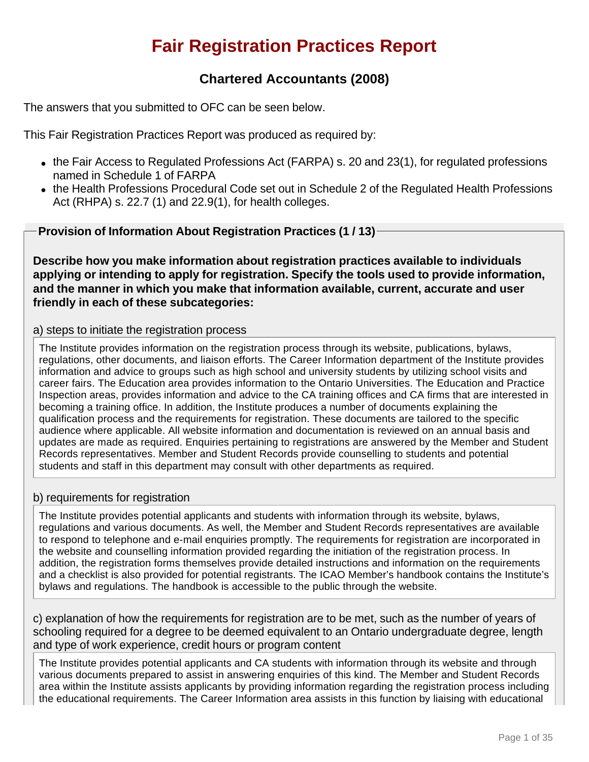# **Fair Registration Practices Report**

# **Chartered Accountants (2008)**

The answers that you submitted to OFC can be seen below.

This Fair Registration Practices Report was produced as required by:

- $\bullet$  the Fair Access to Regulated Professions Act (FARPA) s. 20 and 23(1), for regulated professions named in Schedule 1 of FARPA
- the Health Professions Procedural Code set out in Schedule 2 of the Regulated Health Professions Act (RHPA) s. 22.7 (1) and 22.9(1), for health colleges.

**Provision of Information About Registration Practices (1 / 13)**

**Describe how you make information about registration practices available to individuals applying or intending to apply for registration. Specify the tools used to provide information, and the manner in which you make that information available, current, accurate and user friendly in each of these subcategories:**

#### a) steps to initiate the registration process

The Institute provides information on the registration process through its website, publications, bylaws, regulations, other documents, and liaison efforts. The Career Information department of the Institute provides information and advice to groups such as high school and university students by utilizing school visits and career fairs. The Education area provides information to the Ontario Universities. The Education and Practice Inspection areas, provides information and advice to the CA training offices and CA firms that are interested in becoming a training office. In addition, the Institute produces a number of documents explaining the qualification process and the requirements for registration. These documents are tailored to the specific audience where applicable. All website information and documentation is reviewed on an annual basis and updates are made as required. Enquiries pertaining to registrations are answered by the Member and Student Records representatives. Member and Student Records provide counselling to students and potential students and staff in this department may consult with other departments as required.

#### b) requirements for registration

The Institute provides potential applicants and students with information through its website, bylaws, regulations and various documents. As well, the Member and Student Records representatives are available to respond to telephone and e-mail enquiries promptly. The requirements for registration are incorporated in the website and counselling information provided regarding the initiation of the registration process. In addition, the registration forms themselves provide detailed instructions and information on the requirements and a checklist is also provided for potential registrants. The ICAO Member's handbook contains the Institute's bylaws and regulations. The handbook is accessible to the public through the website.

c) explanation of how the requirements for registration are to be met, such as the number of years of schooling required for a degree to be deemed equivalent to an Ontario undergraduate degree, length and type of work experience, credit hours or program content

The Institute provides potential applicants and CA students with information through its website and through various documents prepared to assist in answering enquiries of this kind. The Member and Student Records area within the Institute assists applicants by providing information regarding the registration process including the educational requirements. The Career Information area assists in this function by liaising with educational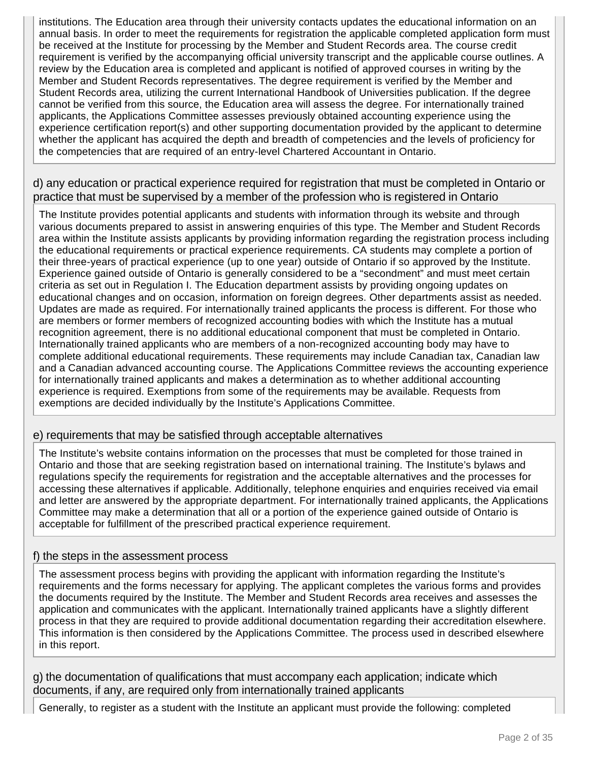institutions. The Education area through their university contacts updates the educational information on an annual basis. In order to meet the requirements for registration the applicable completed application form must be received at the Institute for processing by the Member and Student Records area. The course credit requirement is verified by the accompanying official university transcript and the applicable course outlines. A review by the Education area is completed and applicant is notified of approved courses in writing by the Member and Student Records representatives. The degree requirement is verified by the Member and Student Records area, utilizing the current International Handbook of Universities publication. If the degree cannot be verified from this source, the Education area will assess the degree. For internationally trained applicants, the Applications Committee assesses previously obtained accounting experience using the experience certification report(s) and other supporting documentation provided by the applicant to determine whether the applicant has acquired the depth and breadth of competencies and the levels of proficiency for the competencies that are required of an entry-level Chartered Accountant in Ontario.

#### d) any education or practical experience required for registration that must be completed in Ontario or practice that must be supervised by a member of the profession who is registered in Ontario

The Institute provides potential applicants and students with information through its website and through various documents prepared to assist in answering enquiries of this type. The Member and Student Records area within the Institute assists applicants by providing information regarding the registration process including the educational requirements or practical experience requirements. CA students may complete a portion of their three-years of practical experience (up to one year) outside of Ontario if so approved by the Institute. Experience gained outside of Ontario is generally considered to be a "secondment" and must meet certain criteria as set out in Regulation I. The Education department assists by providing ongoing updates on educational changes and on occasion, information on foreign degrees. Other departments assist as needed. Updates are made as required. For internationally trained applicants the process is different. For those who are members or former members of recognized accounting bodies with which the Institute has a mutual recognition agreement, there is no additional educational component that must be completed in Ontario. Internationally trained applicants who are members of a non-recognized accounting body may have to complete additional educational requirements. These requirements may include Canadian tax, Canadian law and a Canadian advanced accounting course. The Applications Committee reviews the accounting experience for internationally trained applicants and makes a determination as to whether additional accounting experience is required. Exemptions from some of the requirements may be available. Requests from exemptions are decided individually by the Institute's Applications Committee.

#### e) requirements that may be satisfied through acceptable alternatives

The Institute's website contains information on the processes that must be completed for those trained in Ontario and those that are seeking registration based on international training. The Institute's bylaws and regulations specify the requirements for registration and the acceptable alternatives and the processes for accessing these alternatives if applicable. Additionally, telephone enquiries and enquiries received via email and letter are answered by the appropriate department. For internationally trained applicants, the Applications Committee may make a determination that all or a portion of the experience gained outside of Ontario is acceptable for fulfillment of the prescribed practical experience requirement.

#### f) the steps in the assessment process

The assessment process begins with providing the applicant with information regarding the Institute's requirements and the forms necessary for applying. The applicant completes the various forms and provides the documents required by the Institute. The Member and Student Records area receives and assesses the application and communicates with the applicant. Internationally trained applicants have a slightly different process in that they are required to provide additional documentation regarding their accreditation elsewhere. This information is then considered by the Applications Committee. The process used in described elsewhere in this report.

g) the documentation of qualifications that must accompany each application; indicate which documents, if any, are required only from internationally trained applicants

Generally, to register as a student with the Institute an applicant must provide the following: completed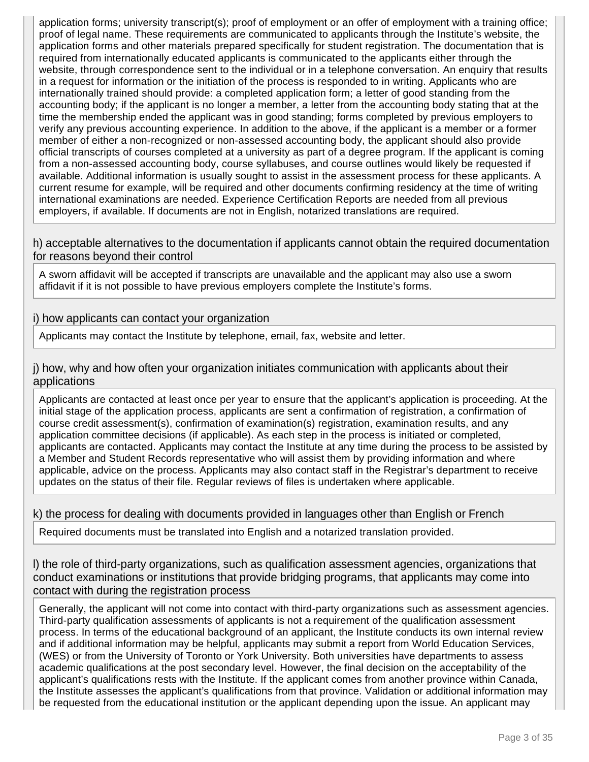application forms; university transcript(s); proof of employment or an offer of employment with a training office; proof of legal name. These requirements are communicated to applicants through the Institute's website, the application forms and other materials prepared specifically for student registration. The documentation that is required from internationally educated applicants is communicated to the applicants either through the website, through correspondence sent to the individual or in a telephone conversation. An enquiry that results in a request for information or the initiation of the process is responded to in writing. Applicants who are internationally trained should provide: a completed application form; a letter of good standing from the accounting body; if the applicant is no longer a member, a letter from the accounting body stating that at the time the membership ended the applicant was in good standing; forms completed by previous employers to verify any previous accounting experience. In addition to the above, if the applicant is a member or a former member of either a non-recognized or non-assessed accounting body, the applicant should also provide official transcripts of courses completed at a university as part of a degree program. If the applicant is coming from a non-assessed accounting body, course syllabuses, and course outlines would likely be requested if available. Additional information is usually sought to assist in the assessment process for these applicants. A current resume for example, will be required and other documents confirming residency at the time of writing international examinations are needed. Experience Certification Reports are needed from all previous employers, if available. If documents are not in English, notarized translations are required.

h) acceptable alternatives to the documentation if applicants cannot obtain the required documentation for reasons beyond their control

A sworn affidavit will be accepted if transcripts are unavailable and the applicant may also use a sworn affidavit if it is not possible to have previous employers complete the Institute's forms.

#### i) how applicants can contact your organization

Applicants may contact the Institute by telephone, email, fax, website and letter.

j) how, why and how often your organization initiates communication with applicants about their applications

Applicants are contacted at least once per year to ensure that the applicant's application is proceeding. At the initial stage of the application process, applicants are sent a confirmation of registration, a confirmation of course credit assessment(s), confirmation of examination(s) registration, examination results, and any application committee decisions (if applicable). As each step in the process is initiated or completed, applicants are contacted. Applicants may contact the Institute at any time during the process to be assisted by a Member and Student Records representative who will assist them by providing information and where applicable, advice on the process. Applicants may also contact staff in the Registrar's department to receive updates on the status of their file. Regular reviews of files is undertaken where applicable.

#### k) the process for dealing with documents provided in languages other than English or French

Required documents must be translated into English and a notarized translation provided.

l) the role of third-party organizations, such as qualification assessment agencies, organizations that conduct examinations or institutions that provide bridging programs, that applicants may come into contact with during the registration process

Generally, the applicant will not come into contact with third-party organizations such as assessment agencies. Third-party qualification assessments of applicants is not a requirement of the qualification assessment process. In terms of the educational background of an applicant, the Institute conducts its own internal review and if additional information may be helpful, applicants may submit a report from World Education Services, (WES) or from the University of Toronto or York University. Both universities have departments to assess academic qualifications at the post secondary level. However, the final decision on the acceptability of the applicant's qualifications rests with the Institute. If the applicant comes from another province within Canada, the Institute assesses the applicant's qualifications from that province. Validation or additional information may be requested from the educational institution or the applicant depending upon the issue. An applicant may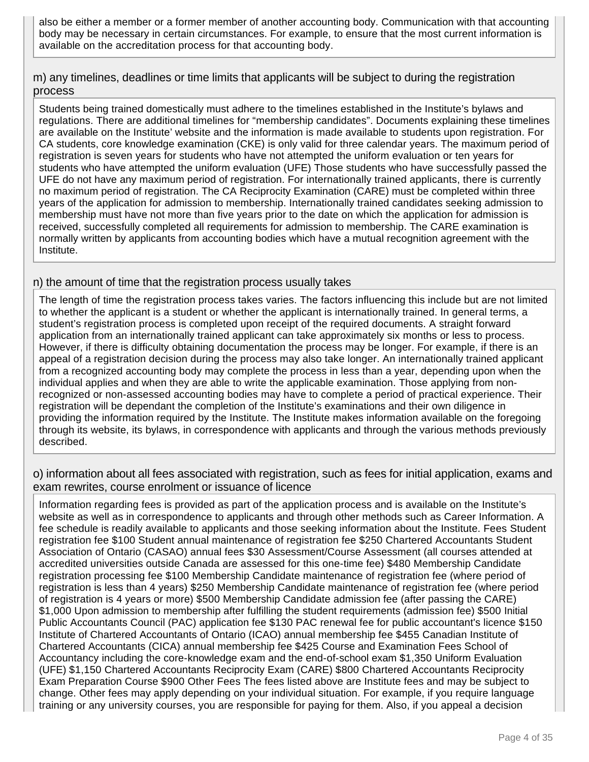also be either a member or a former member of another accounting body. Communication with that accounting body may be necessary in certain circumstances. For example, to ensure that the most current information is available on the accreditation process for that accounting body.

m) any timelines, deadlines or time limits that applicants will be subject to during the registration process

Students being trained domestically must adhere to the timelines established in the Institute's bylaws and regulations. There are additional timelines for "membership candidates". Documents explaining these timelines are available on the Institute' website and the information is made available to students upon registration. For CA students, core knowledge examination (CKE) is only valid for three calendar years. The maximum period of registration is seven years for students who have not attempted the uniform evaluation or ten years for students who have attempted the uniform evaluation (UFE) Those students who have successfully passed the UFE do not have any maximum period of registration. For internationally trained applicants, there is currently no maximum period of registration. The CA Reciprocity Examination (CARE) must be completed within three years of the application for admission to membership. Internationally trained candidates seeking admission to membership must have not more than five years prior to the date on which the application for admission is received, successfully completed all requirements for admission to membership. The CARE examination is normally written by applicants from accounting bodies which have a mutual recognition agreement with the Institute.

#### n) the amount of time that the registration process usually takes

The length of time the registration process takes varies. The factors influencing this include but are not limited to whether the applicant is a student or whether the applicant is internationally trained. In general terms, a student's registration process is completed upon receipt of the required documents. A straight forward application from an internationally trained applicant can take approximately six months or less to process. However, if there is difficulty obtaining documentation the process may be longer. For example, if there is an appeal of a registration decision during the process may also take longer. An internationally trained applicant from a recognized accounting body may complete the process in less than a year, depending upon when the individual applies and when they are able to write the applicable examination. Those applying from nonrecognized or non-assessed accounting bodies may have to complete a period of practical experience. Their registration will be dependant the completion of the Institute's examinations and their own diligence in providing the information required by the Institute. The Institute makes information available on the foregoing through its website, its bylaws, in correspondence with applicants and through the various methods previously described.

#### o) information about all fees associated with registration, such as fees for initial application, exams and exam rewrites, course enrolment or issuance of licence

Information regarding fees is provided as part of the application process and is available on the Institute's website as well as in correspondence to applicants and through other methods such as Career Information. A fee schedule is readily available to applicants and those seeking information about the Institute. Fees Student registration fee \$100 Student annual maintenance of registration fee \$250 Chartered Accountants Student Association of Ontario (CASAO) annual fees \$30 Assessment/Course Assessment (all courses attended at accredited universities outside Canada are assessed for this one-time fee) \$480 Membership Candidate registration processing fee \$100 Membership Candidate maintenance of registration fee (where period of registration is less than 4 years) \$250 Membership Candidate maintenance of registration fee (where period of registration is 4 years or more) \$500 Membership Candidate admission fee (after passing the CARE) \$1,000 Upon admission to membership after fulfilling the student requirements (admission fee) \$500 Initial Public Accountants Council (PAC) application fee \$130 PAC renewal fee for public accountant's licence \$150 Institute of Chartered Accountants of Ontario (ICAO) annual membership fee \$455 Canadian Institute of Chartered Accountants (CICA) annual membership fee \$425 Course and Examination Fees School of Accountancy including the core-knowledge exam and the end-of-school exam \$1,350 Uniform Evaluation (UFE) \$1,150 Chartered Accountants Reciprocity Exam (CARE) \$800 Chartered Accountants Reciprocity Exam Preparation Course \$900 Other Fees The fees listed above are Institute fees and may be subject to change. Other fees may apply depending on your individual situation. For example, if you require language training or any university courses, you are responsible for paying for them. Also, if you appeal a decision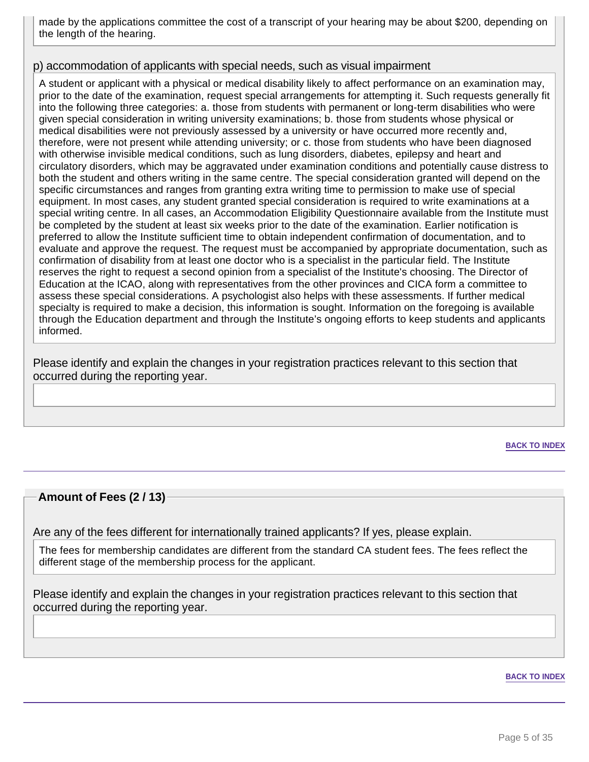made by the applications committee the cost of a transcript of your hearing may be about \$200, depending on the length of the hearing.

#### p) accommodation of applicants with special needs, such as visual impairment

A student or applicant with a physical or medical disability likely to affect performance on an examination may, prior to the date of the examination, request special arrangements for attempting it. Such requests generally fit into the following three categories: a. those from students with permanent or long-term disabilities who were given special consideration in writing university examinations; b. those from students whose physical or medical disabilities were not previously assessed by a university or have occurred more recently and, therefore, were not present while attending university; or c. those from students who have been diagnosed with otherwise invisible medical conditions, such as lung disorders, diabetes, epilepsy and heart and circulatory disorders, which may be aggravated under examination conditions and potentially cause distress to both the student and others writing in the same centre. The special consideration granted will depend on the specific circumstances and ranges from granting extra writing time to permission to make use of special equipment. In most cases, any student granted special consideration is required to write examinations at a special writing centre. In all cases, an Accommodation Eligibility Questionnaire available from the Institute must be completed by the student at least six weeks prior to the date of the examination. Earlier notification is preferred to allow the Institute sufficient time to obtain independent confirmation of documentation, and to evaluate and approve the request. The request must be accompanied by appropriate documentation, such as confirmation of disability from at least one doctor who is a specialist in the particular field. The Institute reserves the right to request a second opinion from a specialist of the Institute's choosing. The Director of Education at the ICAO, along with representatives from the other provinces and CICA form a committee to assess these special considerations. A psychologist also helps with these assessments. If further medical specialty is required to make a decision, this information is sought. Information on the foregoing is available through the Education department and through the Institute's ongoing efforts to keep students and applicants informed.

Please identify and explain the changes in your registration practices relevant to this section that occurred during the reporting year.

**BACK TO INDEX**

#### **Amount of Fees (2 / 13)**

Are any of the fees different for internationally trained applicants? If yes, please explain.

The fees for membership candidates are different from the standard CA student fees. The fees reflect the different stage of the membership process for the applicant.

Please identify and explain the changes in your registration practices relevant to this section that occurred during the reporting year.

#### **BACK TO INDEX**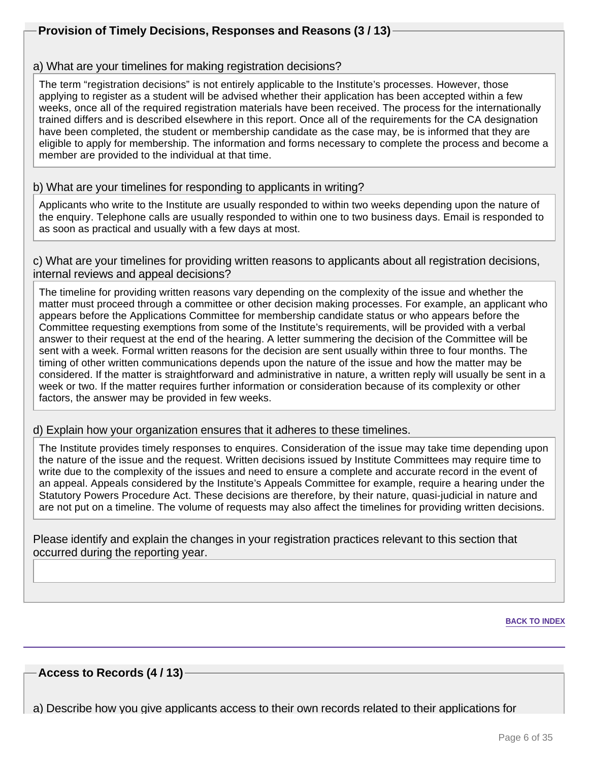## **Provision of Timely Decisions, Responses and Reasons (3 / 13)**

#### a) What are your timelines for making registration decisions?

The term "registration decisions" is not entirely applicable to the Institute's processes. However, those applying to register as a student will be advised whether their application has been accepted within a few weeks, once all of the required registration materials have been received. The process for the internationally trained differs and is described elsewhere in this report. Once all of the requirements for the CA designation have been completed, the student or membership candidate as the case may, be is informed that they are eligible to apply for membership. The information and forms necessary to complete the process and become a member are provided to the individual at that time.

#### b) What are your timelines for responding to applicants in writing?

Applicants who write to the Institute are usually responded to within two weeks depending upon the nature of the enquiry. Telephone calls are usually responded to within one to two business days. Email is responded to as soon as practical and usually with a few days at most.

#### c) What are your timelines for providing written reasons to applicants about all registration decisions, internal reviews and appeal decisions?

The timeline for providing written reasons vary depending on the complexity of the issue and whether the matter must proceed through a committee or other decision making processes. For example, an applicant who appears before the Applications Committee for membership candidate status or who appears before the Committee requesting exemptions from some of the Institute's requirements, will be provided with a verbal answer to their request at the end of the hearing. A letter summering the decision of the Committee will be sent with a week. Formal written reasons for the decision are sent usually within three to four months. The timing of other written communications depends upon the nature of the issue and how the matter may be considered. If the matter is straightforward and administrative in nature, a written reply will usually be sent in a week or two. If the matter requires further information or consideration because of its complexity or other factors, the answer may be provided in few weeks.

#### d) Explain how your organization ensures that it adheres to these timelines.

The Institute provides timely responses to enquires. Consideration of the issue may take time depending upon the nature of the issue and the request. Written decisions issued by Institute Committees may require time to write due to the complexity of the issues and need to ensure a complete and accurate record in the event of an appeal. Appeals considered by the Institute's Appeals Committee for example, require a hearing under the Statutory Powers Procedure Act. These decisions are therefore, by their nature, quasi-judicial in nature and are not put on a timeline. The volume of requests may also affect the timelines for providing written decisions.

Please identify and explain the changes in your registration practices relevant to this section that occurred during the reporting year.

**BACK TO INDEX**

#### **Access to Records (4 / 13)**

a) Describe how you give applicants access to their own records related to their applications for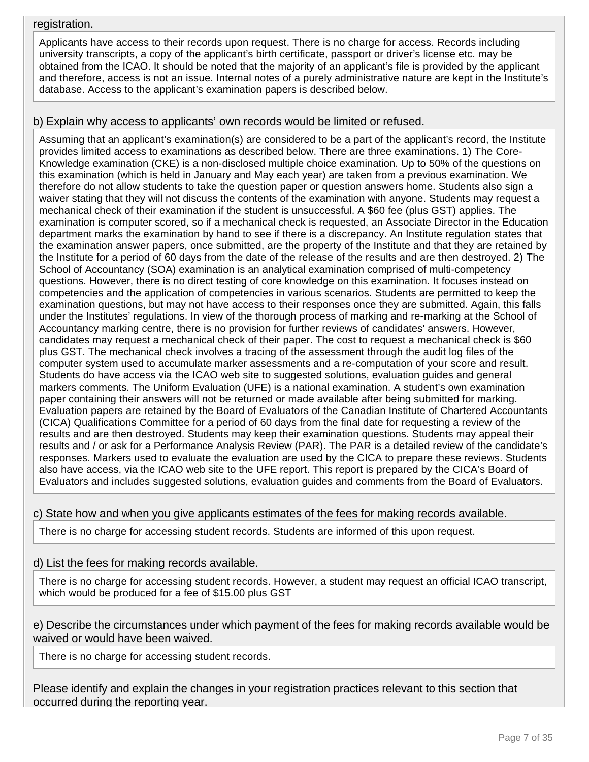#### registration.

Applicants have access to their records upon request. There is no charge for access. Records including university transcripts, a copy of the applicant's birth certificate, passport or driver's license etc. may be obtained from the ICAO. It should be noted that the majority of an applicant's file is provided by the applicant and therefore, access is not an issue. Internal notes of a purely administrative nature are kept in the Institute's database. Access to the applicant's examination papers is described below.

#### b) Explain why access to applicants' own records would be limited or refused.

Assuming that an applicant's examination(s) are considered to be a part of the applicant's record, the Institute provides limited access to examinations as described below. There are three examinations. 1) The Core-Knowledge examination (CKE) is a non-disclosed multiple choice examination. Up to 50% of the questions on this examination (which is held in January and May each year) are taken from a previous examination. We therefore do not allow students to take the question paper or question answers home. Students also sign a waiver stating that they will not discuss the contents of the examination with anyone. Students may request a mechanical check of their examination if the student is unsuccessful. A \$60 fee (plus GST) applies. The examination is computer scored, so if a mechanical check is requested, an Associate Director in the Education department marks the examination by hand to see if there is a discrepancy. An Institute regulation states that the examination answer papers, once submitted, are the property of the Institute and that they are retained by the Institute for a period of 60 days from the date of the release of the results and are then destroyed. 2) The School of Accountancy (SOA) examination is an analytical examination comprised of multi-competency questions. However, there is no direct testing of core knowledge on this examination. It focuses instead on competencies and the application of competencies in various scenarios. Students are permitted to keep the examination questions, but may not have access to their responses once they are submitted. Again, this falls under the Institutes' regulations. In view of the thorough process of marking and re-marking at the School of Accountancy marking centre, there is no provision for further reviews of candidates' answers. However, candidates may request a mechanical check of their paper. The cost to request a mechanical check is \$60 plus GST. The mechanical check involves a tracing of the assessment through the audit log files of the computer system used to accumulate marker assessments and a re-computation of your score and result. Students do have access via the ICAO web site to suggested solutions, evaluation guides and general markers comments. The Uniform Evaluation (UFE) is a national examination. A student's own examination paper containing their answers will not be returned or made available after being submitted for marking. Evaluation papers are retained by the Board of Evaluators of the Canadian Institute of Chartered Accountants (CICA) Qualifications Committee for a period of 60 days from the final date for requesting a review of the results and are then destroyed. Students may keep their examination questions. Students may appeal their results and / or ask for a Performance Analysis Review (PAR). The PAR is a detailed review of the candidate's responses. Markers used to evaluate the evaluation are used by the CICA to prepare these reviews. Students also have access, via the ICAO web site to the UFE report. This report is prepared by the CICA's Board of Evaluators and includes suggested solutions, evaluation guides and comments from the Board of Evaluators.

c) State how and when you give applicants estimates of the fees for making records available.

There is no charge for accessing student records. Students are informed of this upon request.

d) List the fees for making records available.

There is no charge for accessing student records. However, a student may request an official ICAO transcript, which would be produced for a fee of \$15.00 plus GST

e) Describe the circumstances under which payment of the fees for making records available would be waived or would have been waived.

There is no charge for accessing student records.

Please identify and explain the changes in your registration practices relevant to this section that occurred during the reporting year.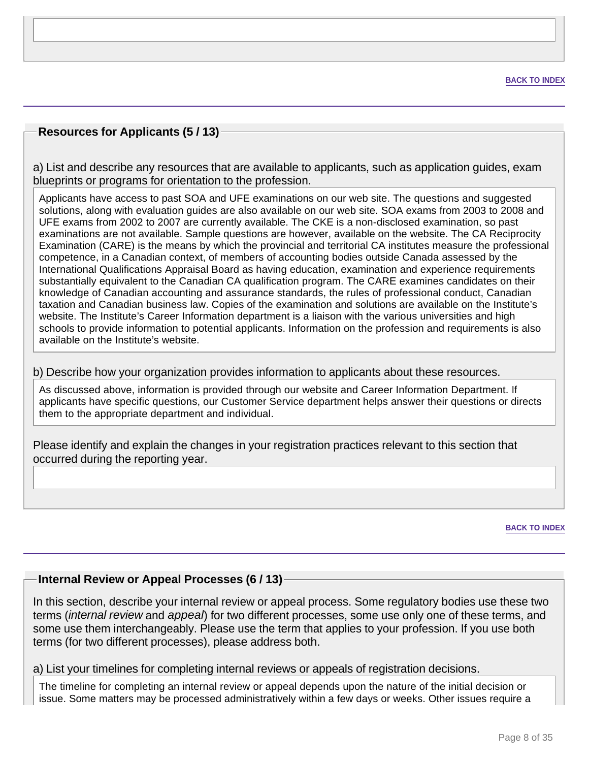## **Resources for Applicants (5 / 13)**

a) List and describe any resources that are available to applicants, such as application guides, exam blueprints or programs for orientation to the profession.

Applicants have access to past SOA and UFE examinations on our web site. The questions and suggested solutions, along with evaluation guides are also available on our web site. SOA exams from 2003 to 2008 and UFE exams from 2002 to 2007 are currently available. The CKE is a non-disclosed examination, so past examinations are not available. Sample questions are however, available on the website. The CA Reciprocity Examination (CARE) is the means by which the provincial and territorial CA institutes measure the professional competence, in a Canadian context, of members of accounting bodies outside Canada assessed by the International Qualifications Appraisal Board as having education, examination and experience requirements substantially equivalent to the Canadian CA qualification program. The CARE examines candidates on their knowledge of Canadian accounting and assurance standards, the rules of professional conduct, Canadian taxation and Canadian business law. Copies of the examination and solutions are available on the Institute's website. The Institute's Career Information department is a liaison with the various universities and high schools to provide information to potential applicants. Information on the profession and requirements is also available on the Institute's website.

b) Describe how your organization provides information to applicants about these resources.

As discussed above, information is provided through our website and Career Information Department. If applicants have specific questions, our Customer Service department helps answer their questions or directs them to the appropriate department and individual.

Please identify and explain the changes in your registration practices relevant to this section that occurred during the reporting year.

**BACK TO INDEX**

#### **Internal Review or Appeal Processes (6 / 13)**

In this section, describe your internal review or appeal process. Some regulatory bodies use these two terms (*internal review* and appeal) for two different processes, some use only one of these terms, and some use them interchangeably. Please use the term that applies to your profession. If you use both terms (for two different processes), please address both.

#### a) List your timelines for completing internal reviews or appeals of registration decisions.

The timeline for completing an internal review or appeal depends upon the nature of the initial decision or issue. Some matters may be processed administratively within a few days or weeks. Other issues require a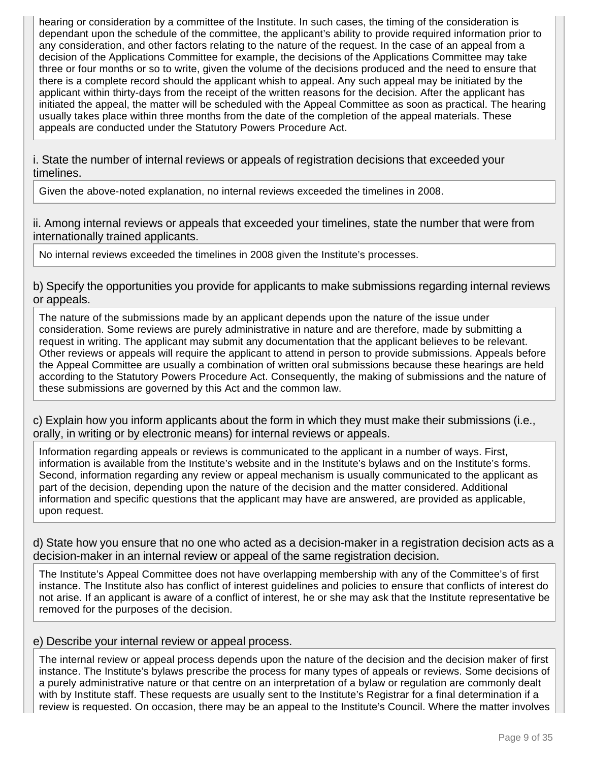hearing or consideration by a committee of the Institute. In such cases, the timing of the consideration is dependant upon the schedule of the committee, the applicant's ability to provide required information prior to any consideration, and other factors relating to the nature of the request. In the case of an appeal from a decision of the Applications Committee for example, the decisions of the Applications Committee may take three or four months or so to write, given the volume of the decisions produced and the need to ensure that there is a complete record should the applicant whish to appeal. Any such appeal may be initiated by the applicant within thirty-days from the receipt of the written reasons for the decision. After the applicant has initiated the appeal, the matter will be scheduled with the Appeal Committee as soon as practical. The hearing usually takes place within three months from the date of the completion of the appeal materials. These appeals are conducted under the Statutory Powers Procedure Act.

i. State the number of internal reviews or appeals of registration decisions that exceeded your timelines.

Given the above-noted explanation, no internal reviews exceeded the timelines in 2008.

ii. Among internal reviews or appeals that exceeded your timelines, state the number that were from internationally trained applicants.

No internal reviews exceeded the timelines in 2008 given the Institute's processes.

b) Specify the opportunities you provide for applicants to make submissions regarding internal reviews or appeals.

The nature of the submissions made by an applicant depends upon the nature of the issue under consideration. Some reviews are purely administrative in nature and are therefore, made by submitting a request in writing. The applicant may submit any documentation that the applicant believes to be relevant. Other reviews or appeals will require the applicant to attend in person to provide submissions. Appeals before the Appeal Committee are usually a combination of written oral submissions because these hearings are held according to the Statutory Powers Procedure Act. Consequently, the making of submissions and the nature of these submissions are governed by this Act and the common law.

c) Explain how you inform applicants about the form in which they must make their submissions (i.e., orally, in writing or by electronic means) for internal reviews or appeals.

Information regarding appeals or reviews is communicated to the applicant in a number of ways. First, information is available from the Institute's website and in the Institute's bylaws and on the Institute's forms. Second, information regarding any review or appeal mechanism is usually communicated to the applicant as part of the decision, depending upon the nature of the decision and the matter considered. Additional information and specific questions that the applicant may have are answered, are provided as applicable, upon request.

d) State how you ensure that no one who acted as a decision-maker in a registration decision acts as a decision-maker in an internal review or appeal of the same registration decision.

The Institute's Appeal Committee does not have overlapping membership with any of the Committee's of first instance. The Institute also has conflict of interest guidelines and policies to ensure that conflicts of interest do not arise. If an applicant is aware of a conflict of interest, he or she may ask that the Institute representative be removed for the purposes of the decision.

#### e) Describe your internal review or appeal process.

The internal review or appeal process depends upon the nature of the decision and the decision maker of first instance. The Institute's bylaws prescribe the process for many types of appeals or reviews. Some decisions of a purely administrative nature or that centre on an interpretation of a bylaw or regulation are commonly dealt with by Institute staff. These requests are usually sent to the Institute's Registrar for a final determination if a review is requested. On occasion, there may be an appeal to the Institute's Council. Where the matter involves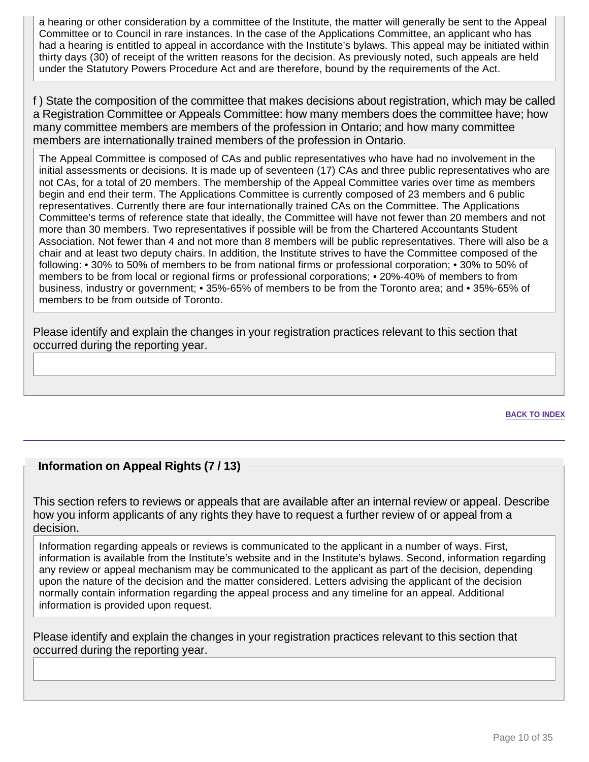a hearing or other consideration by a committee of the Institute, the matter will generally be sent to the Appeal Committee or to Council in rare instances. In the case of the Applications Committee, an applicant who has had a hearing is entitled to appeal in accordance with the Institute's bylaws. This appeal may be initiated within thirty days (30) of receipt of the written reasons for the decision. As previously noted, such appeals are held under the Statutory Powers Procedure Act and are therefore, bound by the requirements of the Act.

f ) State the composition of the committee that makes decisions about registration, which may be called a Registration Committee or Appeals Committee: how many members does the committee have; how many committee members are members of the profession in Ontario; and how many committee members are internationally trained members of the profession in Ontario.

The Appeal Committee is composed of CAs and public representatives who have had no involvement in the initial assessments or decisions. It is made up of seventeen (17) CAs and three public representatives who are not CAs, for a total of 20 members. The membership of the Appeal Committee varies over time as members begin and end their term. The Applications Committee is currently composed of 23 members and 6 public representatives. Currently there are four internationally trained CAs on the Committee. The Applications Committee's terms of reference state that ideally, the Committee will have not fewer than 20 members and not more than 30 members. Two representatives if possible will be from the Chartered Accountants Student Association. Not fewer than 4 and not more than 8 members will be public representatives. There will also be a chair and at least two deputy chairs. In addition, the Institute strives to have the Committee composed of the following: • 30% to 50% of members to be from national firms or professional corporation; • 30% to 50% of members to be from local or regional firms or professional corporations; • 20%-40% of members to from business, industry or government; • 35%-65% of members to be from the Toronto area; and • 35%-65% of members to be from outside of Toronto.

Please identify and explain the changes in your registration practices relevant to this section that occurred during the reporting year.

**BACK TO INDEX**

#### **Information on Appeal Rights (7 / 13)**

This section refers to reviews or appeals that are available after an internal review or appeal. Describe how you inform applicants of any rights they have to request a further review of or appeal from a decision.

Information regarding appeals or reviews is communicated to the applicant in a number of ways. First, information is available from the Institute's website and in the Institute's bylaws. Second, information regarding any review or appeal mechanism may be communicated to the applicant as part of the decision, depending upon the nature of the decision and the matter considered. Letters advising the applicant of the decision normally contain information regarding the appeal process and any timeline for an appeal. Additional information is provided upon request.

Please identify and explain the changes in your registration practices relevant to this section that occurred during the reporting year.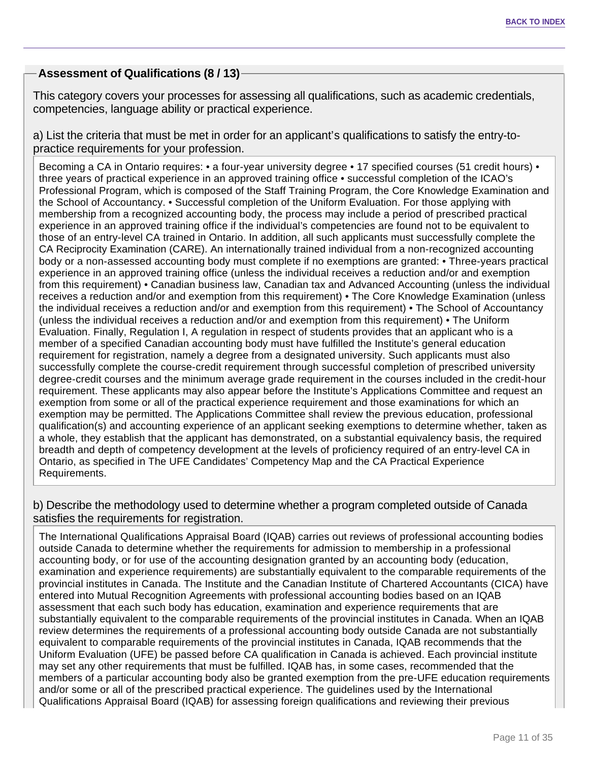## **Assessment of Qualifications (8 / 13)**

This category covers your processes for assessing all qualifications, such as academic credentials, competencies, language ability or practical experience.

a) List the criteria that must be met in order for an applicant's qualifications to satisfy the entry-topractice requirements for your profession.

Becoming a CA in Ontario requires: • a four-year university degree • 17 specified courses (51 credit hours) • three years of practical experience in an approved training office • successful completion of the ICAO's Professional Program, which is composed of the Staff Training Program, the Core Knowledge Examination and the School of Accountancy. • Successful completion of the Uniform Evaluation. For those applying with membership from a recognized accounting body, the process may include a period of prescribed practical experience in an approved training office if the individual's competencies are found not to be equivalent to those of an entry-level CA trained in Ontario. In addition, all such applicants must successfully complete the CA Reciprocity Examination (CARE). An internationally trained individual from a non-recognized accounting body or a non-assessed accounting body must complete if no exemptions are granted: • Three-years practical experience in an approved training office (unless the individual receives a reduction and/or and exemption from this requirement) • Canadian business law, Canadian tax and Advanced Accounting (unless the individual receives a reduction and/or and exemption from this requirement) • The Core Knowledge Examination (unless the individual receives a reduction and/or and exemption from this requirement) • The School of Accountancy (unless the individual receives a reduction and/or and exemption from this requirement) • The Uniform Evaluation. Finally, Regulation I, A regulation in respect of students provides that an applicant who is a member of a specified Canadian accounting body must have fulfilled the Institute's general education requirement for registration, namely a degree from a designated university. Such applicants must also successfully complete the course-credit requirement through successful completion of prescribed university degree-credit courses and the minimum average grade requirement in the courses included in the credit-hour requirement. These applicants may also appear before the Institute's Applications Committee and request an exemption from some or all of the practical experience requirement and those examinations for which an exemption may be permitted. The Applications Committee shall review the previous education, professional qualification(s) and accounting experience of an applicant seeking exemptions to determine whether, taken as a whole, they establish that the applicant has demonstrated, on a substantial equivalency basis, the required breadth and depth of competency development at the levels of proficiency required of an entry-level CA in Ontario, as specified in The UFE Candidates' Competency Map and the CA Practical Experience Requirements.

b) Describe the methodology used to determine whether a program completed outside of Canada satisfies the requirements for registration.

The International Qualifications Appraisal Board (IQAB) carries out reviews of professional accounting bodies outside Canada to determine whether the requirements for admission to membership in a professional accounting body, or for use of the accounting designation granted by an accounting body (education, examination and experience requirements) are substantially equivalent to the comparable requirements of the provincial institutes in Canada. The Institute and the Canadian Institute of Chartered Accountants (CICA) have entered into Mutual Recognition Agreements with professional accounting bodies based on an IQAB assessment that each such body has education, examination and experience requirements that are substantially equivalent to the comparable requirements of the provincial institutes in Canada. When an IQAB review determines the requirements of a professional accounting body outside Canada are not substantially equivalent to comparable requirements of the provincial institutes in Canada, IQAB recommends that the Uniform Evaluation (UFE) be passed before CA qualification in Canada is achieved. Each provincial institute may set any other requirements that must be fulfilled. IQAB has, in some cases, recommended that the members of a particular accounting body also be granted exemption from the pre-UFE education requirements and/or some or all of the prescribed practical experience. The guidelines used by the International Qualifications Appraisal Board (IQAB) for assessing foreign qualifications and reviewing their previous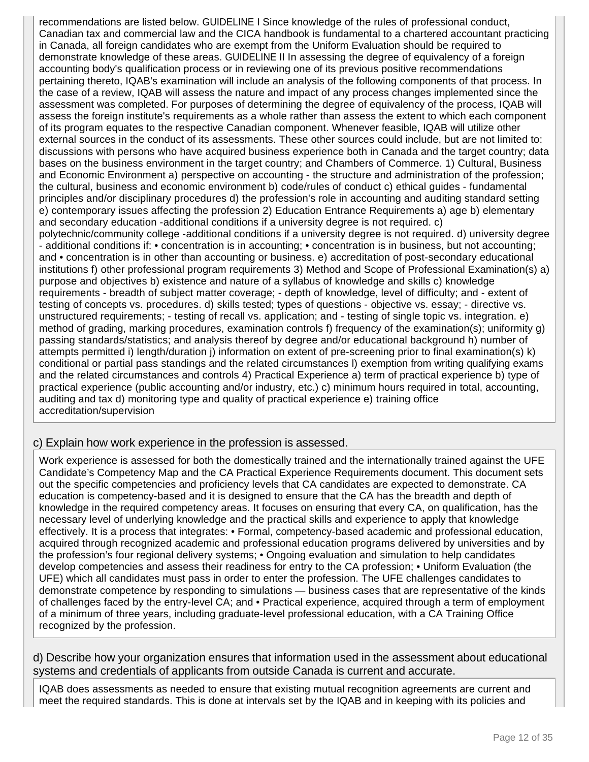recommendations are listed below. GUIDELINE I Since knowledge of the rules of professional conduct, Canadian tax and commercial law and the CICA handbook is fundamental to a chartered accountant practicing in Canada, all foreign candidates who are exempt from the Uniform Evaluation should be required to demonstrate knowledge of these areas. GUIDELINE II In assessing the degree of equivalency of a foreign accounting body's qualification process or in reviewing one of its previous positive recommendations pertaining thereto, IQAB's examination will include an analysis of the following components of that process. In the case of a review, IQAB will assess the nature and impact of any process changes implemented since the assessment was completed. For purposes of determining the degree of equivalency of the process, IQAB will assess the foreign institute's requirements as a whole rather than assess the extent to which each component of its program equates to the respective Canadian component. Whenever feasible, IQAB will utilize other external sources in the conduct of its assessments. These other sources could include, but are not limited to: discussions with persons who have acquired business experience both in Canada and the target country; data bases on the business environment in the target country; and Chambers of Commerce. 1) Cultural, Business and Economic Environment a) perspective on accounting - the structure and administration of the profession; the cultural, business and economic environment b) code/rules of conduct c) ethical guides - fundamental principles and/or disciplinary procedures d) the profession's role in accounting and auditing standard setting e) contemporary issues affecting the profession 2) Education Entrance Requirements a) age b) elementary and secondary education -additional conditions if a university degree is not required. c) polytechnic/community college -additional conditions if a university degree is not required. d) university degree - additional conditions if: • concentration is in accounting; • concentration is in business, but not accounting; and • concentration is in other than accounting or business. e) accreditation of post-secondary educational institutions f) other professional program requirements 3) Method and Scope of Professional Examination(s) a) purpose and objectives b) existence and nature of a syllabus of knowledge and skills c) knowledge requirements - breadth of subject matter coverage; - depth of knowledge, level of difficulty; and - extent of testing of concepts vs. procedures. d) skills tested; types of questions - objective vs. essay; - directive vs. unstructured requirements; - testing of recall vs. application; and - testing of single topic vs. integration. e) method of grading, marking procedures, examination controls f) frequency of the examination(s); uniformity g) passing standards/statistics; and analysis thereof by degree and/or educational background h) number of attempts permitted i) length/duration j) information on extent of pre-screening prior to final examination(s) k) conditional or partial pass standings and the related circumstances l) exemption from writing qualifying exams and the related circumstances and controls 4) Practical Experience a) term of practical experience b) type of practical experience (public accounting and/or industry, etc.) c) minimum hours required in total, accounting, auditing and tax d) monitoring type and quality of practical experience e) training office accreditation/supervision

#### c) Explain how work experience in the profession is assessed.

Work experience is assessed for both the domestically trained and the internationally trained against the UFE Candidate's Competency Map and the CA Practical Experience Requirements document. This document sets out the specific competencies and proficiency levels that CA candidates are expected to demonstrate. CA education is competency-based and it is designed to ensure that the CA has the breadth and depth of knowledge in the required competency areas. It focuses on ensuring that every CA, on qualification, has the necessary level of underlying knowledge and the practical skills and experience to apply that knowledge effectively. It is a process that integrates: • Formal, competency-based academic and professional education, acquired through recognized academic and professional education programs delivered by universities and by the profession's four regional delivery systems; • Ongoing evaluation and simulation to help candidates develop competencies and assess their readiness for entry to the CA profession; • Uniform Evaluation (the UFE) which all candidates must pass in order to enter the profession. The UFE challenges candidates to demonstrate competence by responding to simulations — business cases that are representative of the kinds of challenges faced by the entry-level CA; and • Practical experience, acquired through a term of employment of a minimum of three years, including graduate-level professional education, with a CA Training Office recognized by the profession.

d) Describe how your organization ensures that information used in the assessment about educational systems and credentials of applicants from outside Canada is current and accurate.

IQAB does assessments as needed to ensure that existing mutual recognition agreements are current and meet the required standards. This is done at intervals set by the IQAB and in keeping with its policies and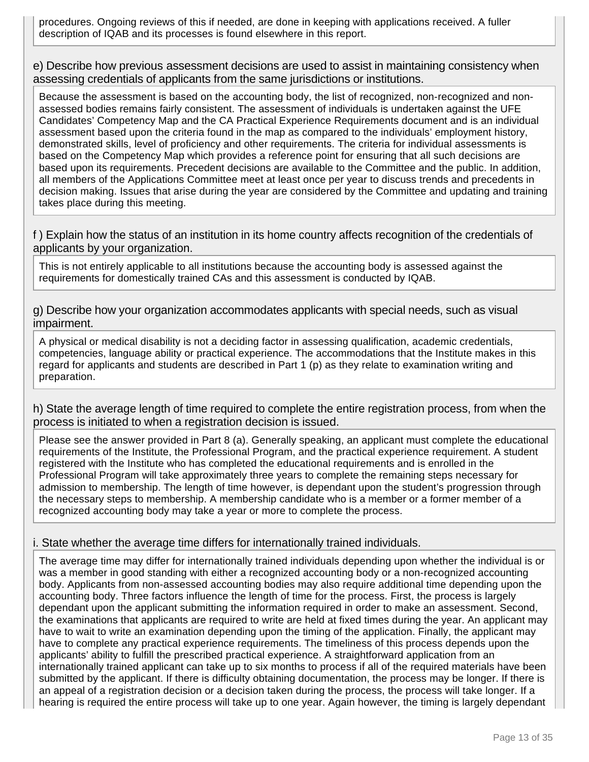procedures. Ongoing reviews of this if needed, are done in keeping with applications received. A fuller description of IQAB and its processes is found elsewhere in this report.

e) Describe how previous assessment decisions are used to assist in maintaining consistency when assessing credentials of applicants from the same jurisdictions or institutions.

Because the assessment is based on the accounting body, the list of recognized, non-recognized and nonassessed bodies remains fairly consistent. The assessment of individuals is undertaken against the UFE Candidates' Competency Map and the CA Practical Experience Requirements document and is an individual assessment based upon the criteria found in the map as compared to the individuals' employment history, demonstrated skills, level of proficiency and other requirements. The criteria for individual assessments is based on the Competency Map which provides a reference point for ensuring that all such decisions are based upon its requirements. Precedent decisions are available to the Committee and the public. In addition, all members of the Applications Committee meet at least once per year to discuss trends and precedents in decision making. Issues that arise during the year are considered by the Committee and updating and training takes place during this meeting.

f ) Explain how the status of an institution in its home country affects recognition of the credentials of applicants by your organization.

This is not entirely applicable to all institutions because the accounting body is assessed against the requirements for domestically trained CAs and this assessment is conducted by IQAB.

g) Describe how your organization accommodates applicants with special needs, such as visual impairment.

A physical or medical disability is not a deciding factor in assessing qualification, academic credentials, competencies, language ability or practical experience. The accommodations that the Institute makes in this regard for applicants and students are described in Part 1 (p) as they relate to examination writing and preparation.

h) State the average length of time required to complete the entire registration process, from when the process is initiated to when a registration decision is issued.

Please see the answer provided in Part 8 (a). Generally speaking, an applicant must complete the educational requirements of the Institute, the Professional Program, and the practical experience requirement. A student registered with the Institute who has completed the educational requirements and is enrolled in the Professional Program will take approximately three years to complete the remaining steps necessary for admission to membership. The length of time however, is dependant upon the student's progression through the necessary steps to membership. A membership candidate who is a member or a former member of a recognized accounting body may take a year or more to complete the process.

#### i. State whether the average time differs for internationally trained individuals.

The average time may differ for internationally trained individuals depending upon whether the individual is or was a member in good standing with either a recognized accounting body or a non-recognized accounting body. Applicants from non-assessed accounting bodies may also require additional time depending upon the accounting body. Three factors influence the length of time for the process. First, the process is largely dependant upon the applicant submitting the information required in order to make an assessment. Second, the examinations that applicants are required to write are held at fixed times during the year. An applicant may have to wait to write an examination depending upon the timing of the application. Finally, the applicant may have to complete any practical experience requirements. The timeliness of this process depends upon the applicants' ability to fulfill the prescribed practical experience. A straightforward application from an internationally trained applicant can take up to six months to process if all of the required materials have been submitted by the applicant. If there is difficulty obtaining documentation, the process may be longer. If there is an appeal of a registration decision or a decision taken during the process, the process will take longer. If a hearing is required the entire process will take up to one year. Again however, the timing is largely dependant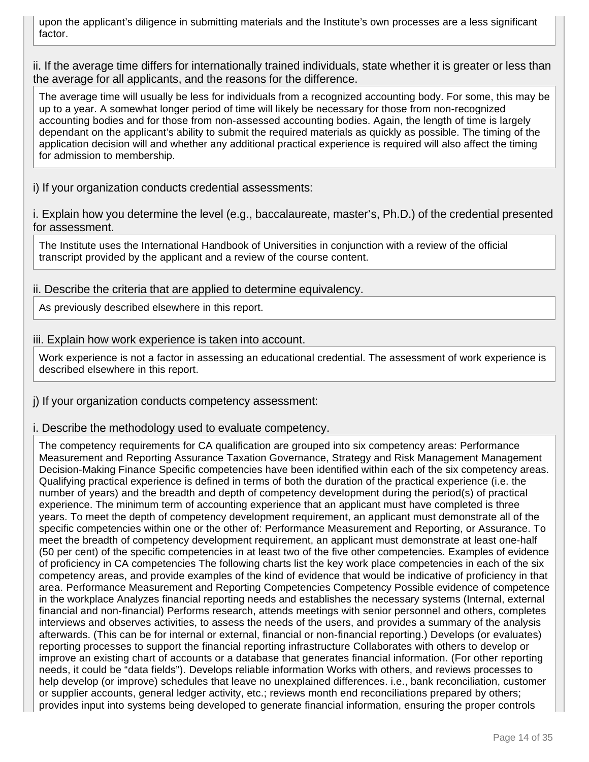upon the applicant's diligence in submitting materials and the Institute's own processes are a less significant factor.

ii. If the average time differs for internationally trained individuals, state whether it is greater or less than the average for all applicants, and the reasons for the difference.

The average time will usually be less for individuals from a recognized accounting body. For some, this may be up to a year. A somewhat longer period of time will likely be necessary for those from non-recognized accounting bodies and for those from non-assessed accounting bodies. Again, the length of time is largely dependant on the applicant's ability to submit the required materials as quickly as possible. The timing of the application decision will and whether any additional practical experience is required will also affect the timing for admission to membership.

i) If your organization conducts credential assessments:

i. Explain how you determine the level (e.g., baccalaureate, master's, Ph.D.) of the credential presented for assessment.

The Institute uses the International Handbook of Universities in conjunction with a review of the official transcript provided by the applicant and a review of the course content.

#### ii. Describe the criteria that are applied to determine equivalency.

As previously described elsewhere in this report.

#### iii. Explain how work experience is taken into account.

Work experience is not a factor in assessing an educational credential. The assessment of work experience is described elsewhere in this report.

j) If your organization conducts competency assessment:

i. Describe the methodology used to evaluate competency.

The competency requirements for CA qualification are grouped into six competency areas: Performance Measurement and Reporting Assurance Taxation Governance, Strategy and Risk Management Management Decision-Making Finance Specific competencies have been identified within each of the six competency areas. Qualifying practical experience is defined in terms of both the duration of the practical experience (i.e. the number of years) and the breadth and depth of competency development during the period(s) of practical experience. The minimum term of accounting experience that an applicant must have completed is three years. To meet the depth of competency development requirement, an applicant must demonstrate all of the specific competencies within one or the other of: Performance Measurement and Reporting, or Assurance. To meet the breadth of competency development requirement, an applicant must demonstrate at least one-half (50 per cent) of the specific competencies in at least two of the five other competencies. Examples of evidence of proficiency in CA competencies The following charts list the key work place competencies in each of the six competency areas, and provide examples of the kind of evidence that would be indicative of proficiency in that area. Performance Measurement and Reporting Competencies Competency Possible evidence of competence in the workplace Analyzes financial reporting needs and establishes the necessary systems (Internal, external financial and non-financial) Performs research, attends meetings with senior personnel and others, completes interviews and observes activities, to assess the needs of the users, and provides a summary of the analysis afterwards. (This can be for internal or external, financial or non-financial reporting.) Develops (or evaluates) reporting processes to support the financial reporting infrastructure Collaborates with others to develop or improve an existing chart of accounts or a database that generates financial information. (For other reporting needs, it could be "data fields"). Develops reliable information Works with others, and reviews processes to help develop (or improve) schedules that leave no unexplained differences. i.e., bank reconciliation, customer or supplier accounts, general ledger activity, etc.; reviews month end reconciliations prepared by others; provides input into systems being developed to generate financial information, ensuring the proper controls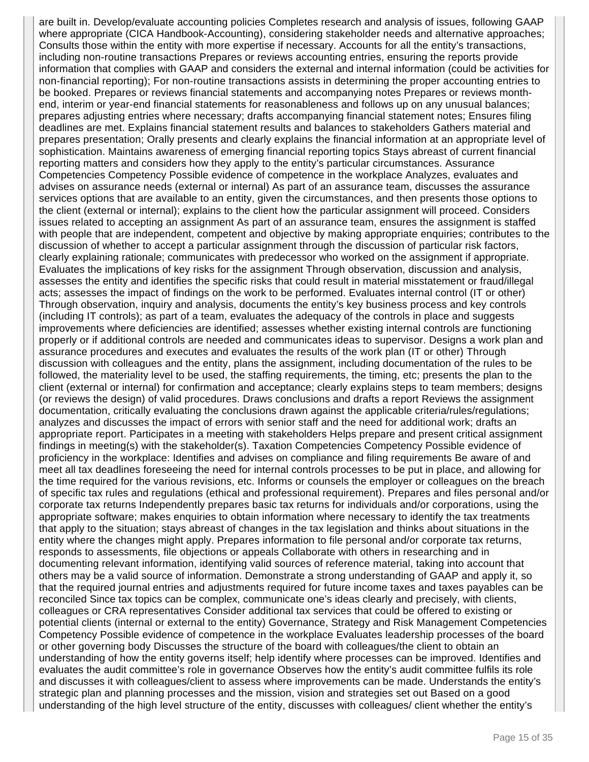are built in. Develop/evaluate accounting policies Completes research and analysis of issues, following GAAP where appropriate (CICA Handbook-Accounting), considering stakeholder needs and alternative approaches; Consults those within the entity with more expertise if necessary. Accounts for all the entity's transactions, including non-routine transactions Prepares or reviews accounting entries, ensuring the reports provide information that complies with GAAP and considers the external and internal information (could be activities for non-financial reporting); For non-routine transactions assists in determining the proper accounting entries to be booked. Prepares or reviews financial statements and accompanying notes Prepares or reviews monthend, interim or year-end financial statements for reasonableness and follows up on any unusual balances; prepares adjusting entries where necessary; drafts accompanying financial statement notes; Ensures filing deadlines are met. Explains financial statement results and balances to stakeholders Gathers material and prepares presentation; Orally presents and clearly explains the financial information at an appropriate level of sophistication. Maintains awareness of emerging financial reporting topics Stays abreast of current financial reporting matters and considers how they apply to the entity's particular circumstances. Assurance Competencies Competency Possible evidence of competence in the workplace Analyzes, evaluates and advises on assurance needs (external or internal) As part of an assurance team, discusses the assurance services options that are available to an entity, given the circumstances, and then presents those options to the client (external or internal); explains to the client how the particular assignment will proceed. Considers issues related to accepting an assignment As part of an assurance team, ensures the assignment is staffed with people that are independent, competent and objective by making appropriate enquiries; contributes to the discussion of whether to accept a particular assignment through the discussion of particular risk factors, clearly explaining rationale; communicates with predecessor who worked on the assignment if appropriate. Evaluates the implications of key risks for the assignment Through observation, discussion and analysis, assesses the entity and identifies the specific risks that could result in material misstatement or fraud/illegal acts; assesses the impact of findings on the work to be performed. Evaluates internal control (IT or other) Through observation, inquiry and analysis, documents the entity's key business process and key controls (including IT controls); as part of a team, evaluates the adequacy of the controls in place and suggests improvements where deficiencies are identified; assesses whether existing internal controls are functioning properly or if additional controls are needed and communicates ideas to supervisor. Designs a work plan and assurance procedures and executes and evaluates the results of the work plan (IT or other) Through discussion with colleagues and the entity, plans the assignment, including documentation of the rules to be followed, the materiality level to be used, the staffing requirements, the timing, etc; presents the plan to the client (external or internal) for confirmation and acceptance; clearly explains steps to team members; designs (or reviews the design) of valid procedures. Draws conclusions and drafts a report Reviews the assignment documentation, critically evaluating the conclusions drawn against the applicable criteria/rules/regulations; analyzes and discusses the impact of errors with senior staff and the need for additional work; drafts an appropriate report. Participates in a meeting with stakeholders Helps prepare and present critical assignment findings in meeting(s) with the stakeholder(s). Taxation Competencies Competency Possible evidence of proficiency in the workplace: Identifies and advises on compliance and filing requirements Be aware of and meet all tax deadlines foreseeing the need for internal controls processes to be put in place, and allowing for the time required for the various revisions, etc. Informs or counsels the employer or colleagues on the breach of specific tax rules and regulations (ethical and professional requirement). Prepares and files personal and/or corporate tax returns Independently prepares basic tax returns for individuals and/or corporations, using the appropriate software; makes enquiries to obtain information where necessary to identify the tax treatments that apply to the situation; stays abreast of changes in the tax legislation and thinks about situations in the entity where the changes might apply. Prepares information to file personal and/or corporate tax returns, responds to assessments, file objections or appeals Collaborate with others in researching and in documenting relevant information, identifying valid sources of reference material, taking into account that others may be a valid source of information. Demonstrate a strong understanding of GAAP and apply it, so that the required journal entries and adjustments required for future income taxes and taxes payables can be reconciled Since tax topics can be complex, communicate one's ideas clearly and precisely, with clients, colleagues or CRA representatives Consider additional tax services that could be offered to existing or potential clients (internal or external to the entity) Governance, Strategy and Risk Management Competencies Competency Possible evidence of competence in the workplace Evaluates leadership processes of the board or other governing body Discusses the structure of the board with colleagues/the client to obtain an understanding of how the entity governs itself; help identify where processes can be improved. Identifies and evaluates the audit committee's role in governance Observes how the entity's audit committee fulfils its role and discusses it with colleagues/client to assess where improvements can be made. Understands the entity's strategic plan and planning processes and the mission, vision and strategies set out Based on a good understanding of the high level structure of the entity, discusses with colleagues/ client whether the entity's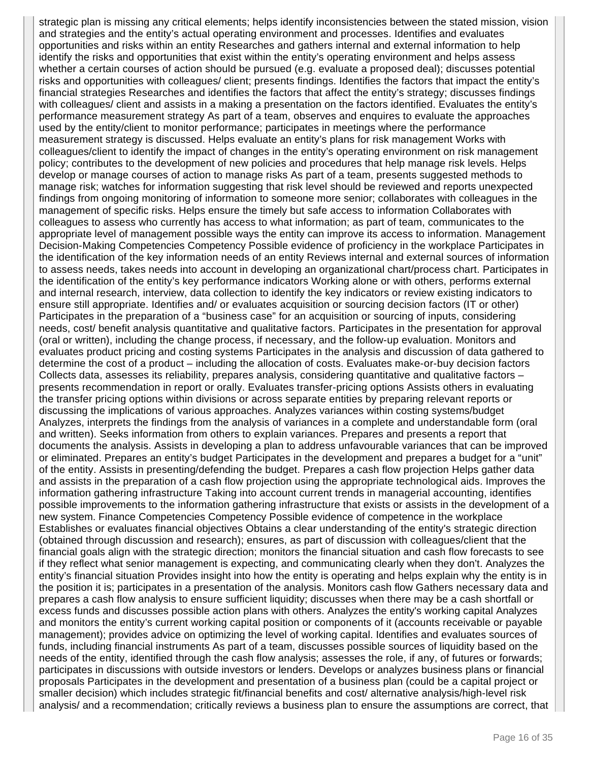strategic plan is missing any critical elements; helps identify inconsistencies between the stated mission, vision and strategies and the entity's actual operating environment and processes. Identifies and evaluates opportunities and risks within an entity Researches and gathers internal and external information to help identify the risks and opportunities that exist within the entity's operating environment and helps assess whether a certain courses of action should be pursued (e.g. evaluate a proposed deal); discusses potential risks and opportunities with colleagues/ client; presents findings. Identifies the factors that impact the entity's financial strategies Researches and identifies the factors that affect the entity's strategy; discusses findings with colleagues/ client and assists in a making a presentation on the factors identified. Evaluates the entity's performance measurement strategy As part of a team, observes and enquires to evaluate the approaches used by the entity/client to monitor performance; participates in meetings where the performance measurement strategy is discussed. Helps evaluate an entity's plans for risk management Works with colleagues/client to identify the impact of changes in the entity's operating environment on risk management policy; contributes to the development of new policies and procedures that help manage risk levels. Helps develop or manage courses of action to manage risks As part of a team, presents suggested methods to manage risk; watches for information suggesting that risk level should be reviewed and reports unexpected findings from ongoing monitoring of information to someone more senior; collaborates with colleagues in the management of specific risks. Helps ensure the timely but safe access to information Collaborates with colleagues to assess who currently has access to what information; as part of team, communicates to the appropriate level of management possible ways the entity can improve its access to information. Management Decision-Making Competencies Competency Possible evidence of proficiency in the workplace Participates in the identification of the key information needs of an entity Reviews internal and external sources of information to assess needs, takes needs into account in developing an organizational chart/process chart. Participates in the identification of the entity's key performance indicators Working alone or with others, performs external and internal research, interview, data collection to identify the key indicators or review existing indicators to ensure still appropriate. Identifies and/ or evaluates acquisition or sourcing decision factors (IT or other) Participates in the preparation of a "business case" for an acquisition or sourcing of inputs, considering needs, cost/ benefit analysis quantitative and qualitative factors. Participates in the presentation for approval (oral or written), including the change process, if necessary, and the follow-up evaluation. Monitors and evaluates product pricing and costing systems Participates in the analysis and discussion of data gathered to determine the cost of a product – including the allocation of costs. Evaluates make-or-buy decision factors Collects data, assesses its reliability, prepares analysis, considering quantitative and qualitative factors – presents recommendation in report or orally. Evaluates transfer-pricing options Assists others in evaluating the transfer pricing options within divisions or across separate entities by preparing relevant reports or discussing the implications of various approaches. Analyzes variances within costing systems/budget Analyzes, interprets the findings from the analysis of variances in a complete and understandable form (oral and written). Seeks information from others to explain variances. Prepares and presents a report that documents the analysis. Assists in developing a plan to address unfavourable variances that can be improved or eliminated. Prepares an entity's budget Participates in the development and prepares a budget for a "unit" of the entity. Assists in presenting/defending the budget. Prepares a cash flow projection Helps gather data and assists in the preparation of a cash flow projection using the appropriate technological aids. Improves the information gathering infrastructure Taking into account current trends in managerial accounting, identifies possible improvements to the information gathering infrastructure that exists or assists in the development of a new system. Finance Competencies Competency Possible evidence of competence in the workplace Establishes or evaluates financial objectives Obtains a clear understanding of the entity's strategic direction (obtained through discussion and research); ensures, as part of discussion with colleagues/client that the financial goals align with the strategic direction; monitors the financial situation and cash flow forecasts to see if they reflect what senior management is expecting, and communicating clearly when they don't. Analyzes the entity's financial situation Provides insight into how the entity is operating and helps explain why the entity is in the position it is; participates in a presentation of the analysis. Monitors cash flow Gathers necessary data and prepares a cash flow analysis to ensure sufficient liquidity; discusses when there may be a cash shortfall or excess funds and discusses possible action plans with others. Analyzes the entity's working capital Analyzes and monitors the entity's current working capital position or components of it (accounts receivable or payable management); provides advice on optimizing the level of working capital. Identifies and evaluates sources of funds, including financial instruments As part of a team, discusses possible sources of liquidity based on the needs of the entity, identified through the cash flow analysis; assesses the role, if any, of futures or forwards; participates in discussions with outside investors or lenders. Develops or analyzes business plans or financial proposals Participates in the development and presentation of a business plan (could be a capital project or smaller decision) which includes strategic fit/financial benefits and cost/ alternative analysis/high-level risk analysis/ and a recommendation; critically reviews a business plan to ensure the assumptions are correct, that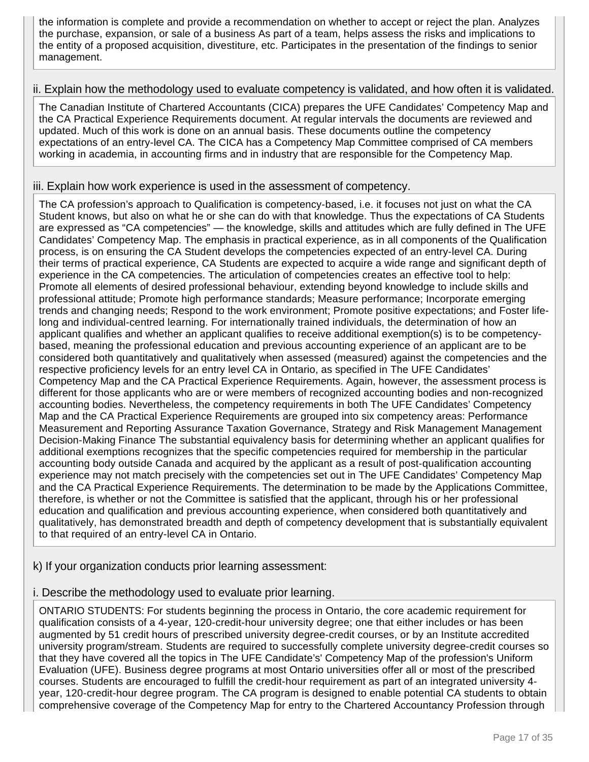the information is complete and provide a recommendation on whether to accept or reject the plan. Analyzes the purchase, expansion, or sale of a business As part of a team, helps assess the risks and implications to the entity of a proposed acquisition, divestiture, etc. Participates in the presentation of the findings to senior management.

#### ii. Explain how the methodology used to evaluate competency is validated, and how often it is validated.

The Canadian Institute of Chartered Accountants (CICA) prepares the UFE Candidates' Competency Map and the CA Practical Experience Requirements document. At regular intervals the documents are reviewed and updated. Much of this work is done on an annual basis. These documents outline the competency expectations of an entry-level CA. The CICA has a Competency Map Committee comprised of CA members working in academia, in accounting firms and in industry that are responsible for the Competency Map.

#### iii. Explain how work experience is used in the assessment of competency.

The CA profession's approach to Qualification is competency-based, i.e. it focuses not just on what the CA Student knows, but also on what he or she can do with that knowledge. Thus the expectations of CA Students are expressed as "CA competencies" — the knowledge, skills and attitudes which are fully defined in The UFE Candidates' Competency Map. The emphasis in practical experience, as in all components of the Qualification process, is on ensuring the CA Student develops the competencies expected of an entry-level CA. During their terms of practical experience, CA Students are expected to acquire a wide range and significant depth of experience in the CA competencies. The articulation of competencies creates an effective tool to help: Promote all elements of desired professional behaviour, extending beyond knowledge to include skills and professional attitude; Promote high performance standards; Measure performance; Incorporate emerging trends and changing needs; Respond to the work environment; Promote positive expectations; and Foster lifelong and individual-centred learning. For internationally trained individuals, the determination of how an applicant qualifies and whether an applicant qualifies to receive additional exemption(s) is to be competencybased, meaning the professional education and previous accounting experience of an applicant are to be considered both quantitatively and qualitatively when assessed (measured) against the competencies and the respective proficiency levels for an entry level CA in Ontario, as specified in The UFE Candidates' Competency Map and the CA Practical Experience Requirements. Again, however, the assessment process is different for those applicants who are or were members of recognized accounting bodies and non-recognized accounting bodies. Nevertheless, the competency requirements in both The UFE Candidates' Competency Map and the CA Practical Experience Requirements are grouped into six competency areas: Performance Measurement and Reporting Assurance Taxation Governance, Strategy and Risk Management Management Decision-Making Finance The substantial equivalency basis for determining whether an applicant qualifies for additional exemptions recognizes that the specific competencies required for membership in the particular accounting body outside Canada and acquired by the applicant as a result of post-qualification accounting experience may not match precisely with the competencies set out in The UFE Candidates' Competency Map and the CA Practical Experience Requirements. The determination to be made by the Applications Committee, therefore, is whether or not the Committee is satisfied that the applicant, through his or her professional education and qualification and previous accounting experience, when considered both quantitatively and qualitatively, has demonstrated breadth and depth of competency development that is substantially equivalent to that required of an entry-level CA in Ontario.

#### k) If your organization conducts prior learning assessment:

#### i. Describe the methodology used to evaluate prior learning.

ONTARIO STUDENTS: For students beginning the process in Ontario, the core academic requirement for qualification consists of a 4-year, 120-credit-hour university degree; one that either includes or has been augmented by 51 credit hours of prescribed university degree-credit courses, or by an Institute accredited university program/stream. Students are required to successfully complete university degree-credit courses so that they have covered all the topics in The UFE Candidate's' Competency Map of the profession's Uniform Evaluation (UFE). Business degree programs at most Ontario universities offer all or most of the prescribed courses. Students are encouraged to fulfill the credit-hour requirement as part of an integrated university 4 year, 120-credit-hour degree program. The CA program is designed to enable potential CA students to obtain comprehensive coverage of the Competency Map for entry to the Chartered Accountancy Profession through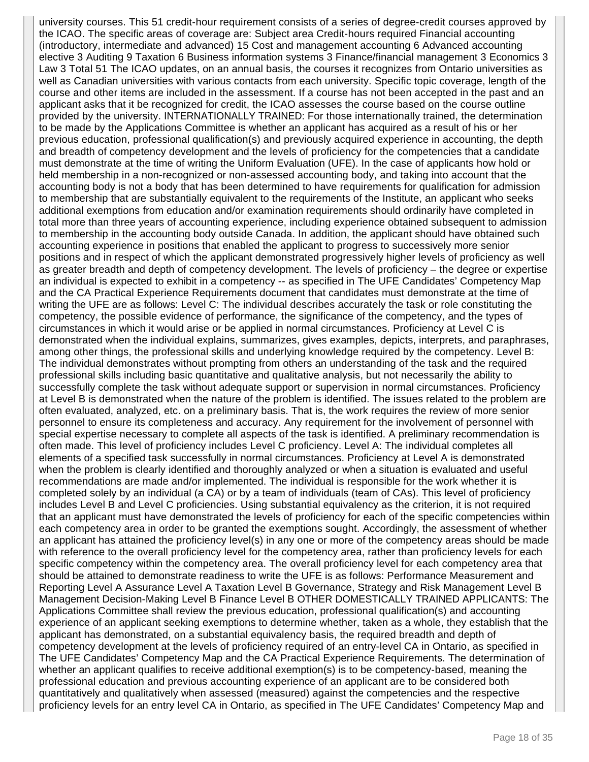university courses. This 51 credit-hour requirement consists of a series of degree-credit courses approved by the ICAO. The specific areas of coverage are: Subject area Credit-hours required Financial accounting (introductory, intermediate and advanced) 15 Cost and management accounting 6 Advanced accounting elective 3 Auditing 9 Taxation 6 Business information systems 3 Finance/financial management 3 Economics 3 Law 3 Total 51 The ICAO updates, on an annual basis, the courses it recognizes from Ontario universities as well as Canadian universities with various contacts from each university. Specific topic coverage, length of the course and other items are included in the assessment. If a course has not been accepted in the past and an applicant asks that it be recognized for credit, the ICAO assesses the course based on the course outline provided by the university. INTERNATIONALLY TRAINED: For those internationally trained, the determination to be made by the Applications Committee is whether an applicant has acquired as a result of his or her previous education, professional qualification(s) and previously acquired experience in accounting, the depth and breadth of competency development and the levels of proficiency for the competencies that a candidate must demonstrate at the time of writing the Uniform Evaluation (UFE). In the case of applicants how hold or held membership in a non-recognized or non-assessed accounting body, and taking into account that the accounting body is not a body that has been determined to have requirements for qualification for admission to membership that are substantially equivalent to the requirements of the Institute, an applicant who seeks additional exemptions from education and/or examination requirements should ordinarily have completed in total more than three years of accounting experience, including experience obtained subsequent to admission to membership in the accounting body outside Canada. In addition, the applicant should have obtained such accounting experience in positions that enabled the applicant to progress to successively more senior positions and in respect of which the applicant demonstrated progressively higher levels of proficiency as well as greater breadth and depth of competency development. The levels of proficiency – the degree or expertise an individual is expected to exhibit in a competency -- as specified in The UFE Candidates' Competency Map and the CA Practical Experience Requirements document that candidates must demonstrate at the time of writing the UFE are as follows: Level C: The individual describes accurately the task or role constituting the competency, the possible evidence of performance, the significance of the competency, and the types of circumstances in which it would arise or be applied in normal circumstances. Proficiency at Level C is demonstrated when the individual explains, summarizes, gives examples, depicts, interprets, and paraphrases, among other things, the professional skills and underlying knowledge required by the competency. Level B: The individual demonstrates without prompting from others an understanding of the task and the required professional skills including basic quantitative and qualitative analysis, but not necessarily the ability to successfully complete the task without adequate support or supervision in normal circumstances. Proficiency at Level B is demonstrated when the nature of the problem is identified. The issues related to the problem are often evaluated, analyzed, etc. on a preliminary basis. That is, the work requires the review of more senior personnel to ensure its completeness and accuracy. Any requirement for the involvement of personnel with special expertise necessary to complete all aspects of the task is identified. A preliminary recommendation is often made. This level of proficiency includes Level C proficiency. Level A: The individual completes all elements of a specified task successfully in normal circumstances. Proficiency at Level A is demonstrated when the problem is clearly identified and thoroughly analyzed or when a situation is evaluated and useful recommendations are made and/or implemented. The individual is responsible for the work whether it is completed solely by an individual (a CA) or by a team of individuals (team of CAs). This level of proficiency includes Level B and Level C proficiencies. Using substantial equivalency as the criterion, it is not required that an applicant must have demonstrated the levels of proficiency for each of the specific competencies within each competency area in order to be granted the exemptions sought. Accordingly, the assessment of whether an applicant has attained the proficiency level(s) in any one or more of the competency areas should be made with reference to the overall proficiency level for the competency area, rather than proficiency levels for each specific competency within the competency area. The overall proficiency level for each competency area that should be attained to demonstrate readiness to write the UFE is as follows: Performance Measurement and Reporting Level A Assurance Level A Taxation Level B Governance, Strategy and Risk Management Level B Management Decision-Making Level B Finance Level B OTHER DOMESTICALLY TRAINED APPLICANTS: The Applications Committee shall review the previous education, professional qualification(s) and accounting experience of an applicant seeking exemptions to determine whether, taken as a whole, they establish that the applicant has demonstrated, on a substantial equivalency basis, the required breadth and depth of competency development at the levels of proficiency required of an entry-level CA in Ontario, as specified in The UFE Candidates' Competency Map and the CA Practical Experience Requirements. The determination of whether an applicant qualifies to receive additional exemption(s) is to be competency-based, meaning the professional education and previous accounting experience of an applicant are to be considered both quantitatively and qualitatively when assessed (measured) against the competencies and the respective proficiency levels for an entry level CA in Ontario, as specified in The UFE Candidates' Competency Map and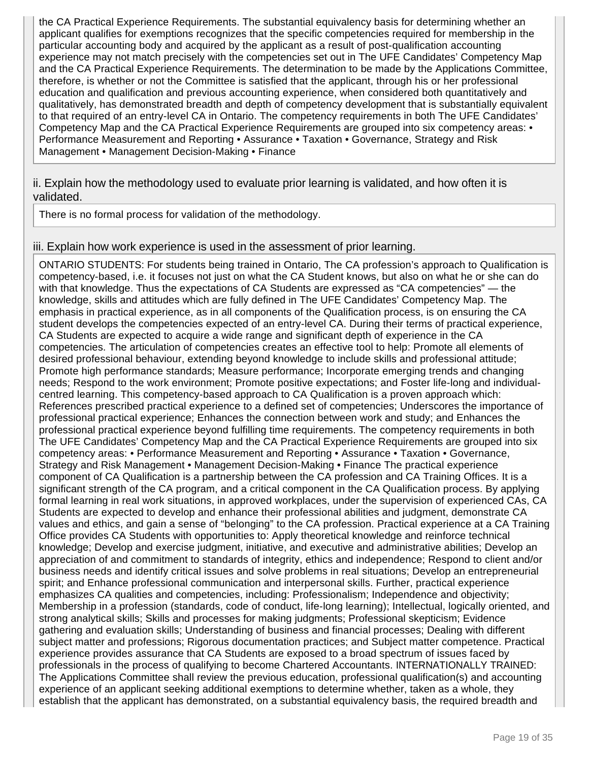the CA Practical Experience Requirements. The substantial equivalency basis for determining whether an applicant qualifies for exemptions recognizes that the specific competencies required for membership in the particular accounting body and acquired by the applicant as a result of post-qualification accounting experience may not match precisely with the competencies set out in The UFE Candidates' Competency Map and the CA Practical Experience Requirements. The determination to be made by the Applications Committee, therefore, is whether or not the Committee is satisfied that the applicant, through his or her professional education and qualification and previous accounting experience, when considered both quantitatively and qualitatively, has demonstrated breadth and depth of competency development that is substantially equivalent to that required of an entry-level CA in Ontario. The competency requirements in both The UFE Candidates' Competency Map and the CA Practical Experience Requirements are grouped into six competency areas: • Performance Measurement and Reporting • Assurance • Taxation • Governance, Strategy and Risk Management • Management Decision-Making • Finance

#### ii. Explain how the methodology used to evaluate prior learning is validated, and how often it is validated.

There is no formal process for validation of the methodology.

#### iii. Explain how work experience is used in the assessment of prior learning.

ONTARIO STUDENTS: For students being trained in Ontario, The CA profession's approach to Qualification is competency-based, i.e. it focuses not just on what the CA Student knows, but also on what he or she can do with that knowledge. Thus the expectations of CA Students are expressed as "CA competencies" — the knowledge, skills and attitudes which are fully defined in The UFE Candidates' Competency Map. The emphasis in practical experience, as in all components of the Qualification process, is on ensuring the CA student develops the competencies expected of an entry-level CA. During their terms of practical experience, CA Students are expected to acquire a wide range and significant depth of experience in the CA competencies. The articulation of competencies creates an effective tool to help: Promote all elements of desired professional behaviour, extending beyond knowledge to include skills and professional attitude; Promote high performance standards; Measure performance; Incorporate emerging trends and changing needs; Respond to the work environment; Promote positive expectations; and Foster life-long and individualcentred learning. This competency-based approach to CA Qualification is a proven approach which: References prescribed practical experience to a defined set of competencies; Underscores the importance of professional practical experience; Enhances the connection between work and study; and Enhances the professional practical experience beyond fulfilling time requirements. The competency requirements in both The UFE Candidates' Competency Map and the CA Practical Experience Requirements are grouped into six competency areas: • Performance Measurement and Reporting • Assurance • Taxation • Governance, Strategy and Risk Management • Management Decision-Making • Finance The practical experience component of CA Qualification is a partnership between the CA profession and CA Training Offices. It is a significant strength of the CA program, and a critical component in the CA Qualification process. By applying formal learning in real work situations, in approved workplaces, under the supervision of experienced CAs, CA Students are expected to develop and enhance their professional abilities and judgment, demonstrate CA values and ethics, and gain a sense of "belonging" to the CA profession. Practical experience at a CA Training Office provides CA Students with opportunities to: Apply theoretical knowledge and reinforce technical knowledge; Develop and exercise judgment, initiative, and executive and administrative abilities; Develop an appreciation of and commitment to standards of integrity, ethics and independence; Respond to client and/or business needs and identify critical issues and solve problems in real situations; Develop an entrepreneurial spirit; and Enhance professional communication and interpersonal skills. Further, practical experience emphasizes CA qualities and competencies, including: Professionalism; Independence and objectivity; Membership in a profession (standards, code of conduct, life-long learning); Intellectual, logically oriented, and strong analytical skills; Skills and processes for making judgments; Professional skepticism; Evidence gathering and evaluation skills; Understanding of business and financial processes; Dealing with different subject matter and professions; Rigorous documentation practices; and Subject matter competence. Practical experience provides assurance that CA Students are exposed to a broad spectrum of issues faced by professionals in the process of qualifying to become Chartered Accountants. INTERNATIONALLY TRAINED: The Applications Committee shall review the previous education, professional qualification(s) and accounting experience of an applicant seeking additional exemptions to determine whether, taken as a whole, they establish that the applicant has demonstrated, on a substantial equivalency basis, the required breadth and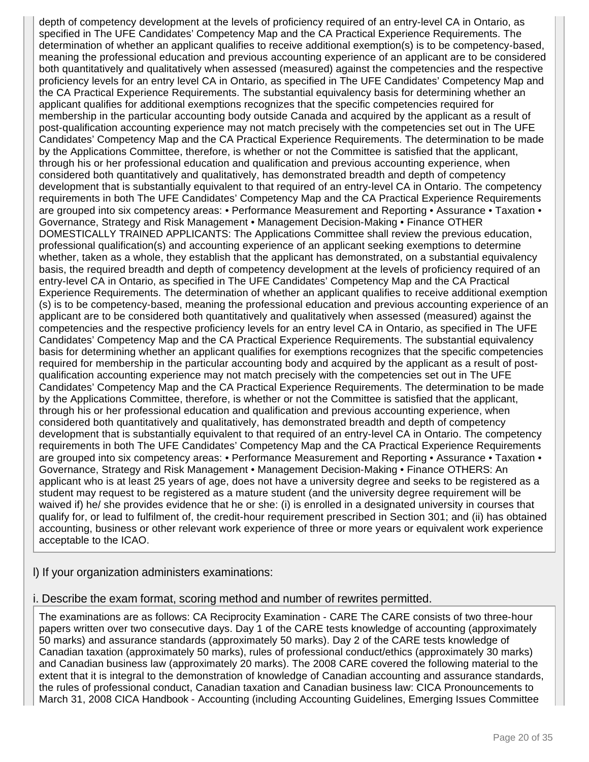depth of competency development at the levels of proficiency required of an entry-level CA in Ontario, as specified in The UFE Candidates' Competency Map and the CA Practical Experience Requirements. The determination of whether an applicant qualifies to receive additional exemption(s) is to be competency-based, meaning the professional education and previous accounting experience of an applicant are to be considered both quantitatively and qualitatively when assessed (measured) against the competencies and the respective proficiency levels for an entry level CA in Ontario, as specified in The UFE Candidates' Competency Map and the CA Practical Experience Requirements. The substantial equivalency basis for determining whether an applicant qualifies for additional exemptions recognizes that the specific competencies required for membership in the particular accounting body outside Canada and acquired by the applicant as a result of post-qualification accounting experience may not match precisely with the competencies set out in The UFE Candidates' Competency Map and the CA Practical Experience Requirements. The determination to be made by the Applications Committee, therefore, is whether or not the Committee is satisfied that the applicant, through his or her professional education and qualification and previous accounting experience, when considered both quantitatively and qualitatively, has demonstrated breadth and depth of competency development that is substantially equivalent to that required of an entry-level CA in Ontario. The competency requirements in both The UFE Candidates' Competency Map and the CA Practical Experience Requirements are grouped into six competency areas: • Performance Measurement and Reporting • Assurance • Taxation • Governance, Strategy and Risk Management • Management Decision-Making • Finance OTHER DOMESTICALLY TRAINED APPLICANTS: The Applications Committee shall review the previous education, professional qualification(s) and accounting experience of an applicant seeking exemptions to determine whether, taken as a whole, they establish that the applicant has demonstrated, on a substantial equivalency basis, the required breadth and depth of competency development at the levels of proficiency required of an entry-level CA in Ontario, as specified in The UFE Candidates' Competency Map and the CA Practical Experience Requirements. The determination of whether an applicant qualifies to receive additional exemption (s) is to be competency-based, meaning the professional education and previous accounting experience of an applicant are to be considered both quantitatively and qualitatively when assessed (measured) against the competencies and the respective proficiency levels for an entry level CA in Ontario, as specified in The UFE Candidates' Competency Map and the CA Practical Experience Requirements. The substantial equivalency basis for determining whether an applicant qualifies for exemptions recognizes that the specific competencies required for membership in the particular accounting body and acquired by the applicant as a result of postqualification accounting experience may not match precisely with the competencies set out in The UFE Candidates' Competency Map and the CA Practical Experience Requirements. The determination to be made by the Applications Committee, therefore, is whether or not the Committee is satisfied that the applicant, through his or her professional education and qualification and previous accounting experience, when considered both quantitatively and qualitatively, has demonstrated breadth and depth of competency development that is substantially equivalent to that required of an entry-level CA in Ontario. The competency requirements in both The UFE Candidates' Competency Map and the CA Practical Experience Requirements are grouped into six competency areas: • Performance Measurement and Reporting • Assurance • Taxation • Governance, Strategy and Risk Management • Management Decision-Making • Finance OTHERS: An applicant who is at least 25 years of age, does not have a university degree and seeks to be registered as a student may request to be registered as a mature student (and the university degree requirement will be waived if) he/ she provides evidence that he or she: (i) is enrolled in a designated university in courses that qualify for, or lead to fulfilment of, the credit-hour requirement prescribed in Section 301; and (ii) has obtained accounting, business or other relevant work experience of three or more years or equivalent work experience acceptable to the ICAO.

l) If your organization administers examinations:

i. Describe the exam format, scoring method and number of rewrites permitted.

The examinations are as follows: CA Reciprocity Examination - CARE The CARE consists of two three-hour papers written over two consecutive days. Day 1 of the CARE tests knowledge of accounting (approximately 50 marks) and assurance standards (approximately 50 marks). Day 2 of the CARE tests knowledge of Canadian taxation (approximately 50 marks), rules of professional conduct/ethics (approximately 30 marks) and Canadian business law (approximately 20 marks). The 2008 CARE covered the following material to the extent that it is integral to the demonstration of knowledge of Canadian accounting and assurance standards, the rules of professional conduct, Canadian taxation and Canadian business law: CICA Pronouncements to March 31, 2008 CICA Handbook - Accounting (including Accounting Guidelines, Emerging Issues Committee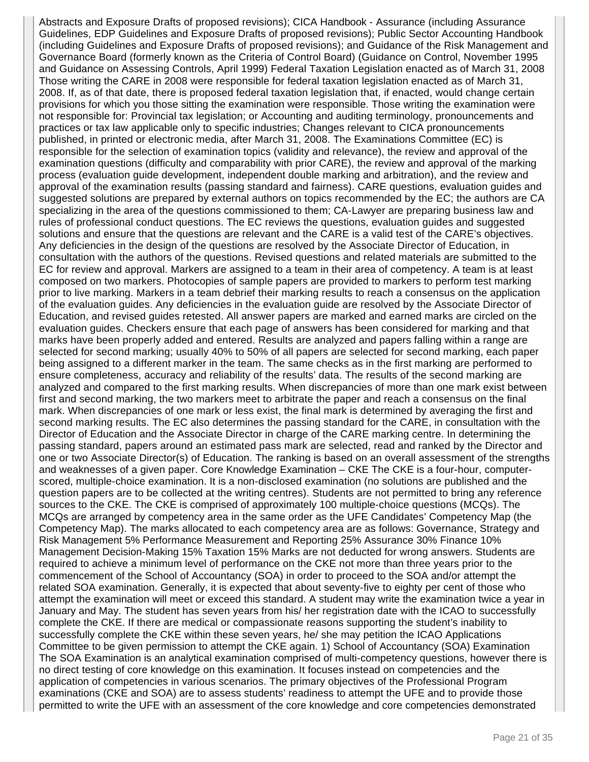Abstracts and Exposure Drafts of proposed revisions); CICA Handbook - Assurance (including Assurance Guidelines, EDP Guidelines and Exposure Drafts of proposed revisions); Public Sector Accounting Handbook (including Guidelines and Exposure Drafts of proposed revisions); and Guidance of the Risk Management and Governance Board (formerly known as the Criteria of Control Board) (Guidance on Control, November 1995 and Guidance on Assessing Controls, April 1999) Federal Taxation Legislation enacted as of March 31, 2008 Those writing the CARE in 2008 were responsible for federal taxation legislation enacted as of March 31, 2008. If, as of that date, there is proposed federal taxation legislation that, if enacted, would change certain provisions for which you those sitting the examination were responsible. Those writing the examination were not responsible for: Provincial tax legislation; or Accounting and auditing terminology, pronouncements and practices or tax law applicable only to specific industries; Changes relevant to CICA pronouncements published, in printed or electronic media, after March 31, 2008. The Examinations Committee (EC) is responsible for the selection of examination topics (validity and relevance), the review and approval of the examination questions (difficulty and comparability with prior CARE), the review and approval of the marking process (evaluation guide development, independent double marking and arbitration), and the review and approval of the examination results (passing standard and fairness). CARE questions, evaluation guides and suggested solutions are prepared by external authors on topics recommended by the EC; the authors are CA specializing in the area of the questions commissioned to them; CA-Lawyer are preparing business law and rules of professional conduct questions. The EC reviews the questions, evaluation guides and suggested solutions and ensure that the questions are relevant and the CARE is a valid test of the CARE's objectives. Any deficiencies in the design of the questions are resolved by the Associate Director of Education, in consultation with the authors of the questions. Revised questions and related materials are submitted to the EC for review and approval. Markers are assigned to a team in their area of competency. A team is at least composed on two markers. Photocopies of sample papers are provided to markers to perform test marking prior to live marking. Markers in a team debrief their marking results to reach a consensus on the application of the evaluation guides. Any deficiencies in the evaluation guide are resolved by the Associate Director of Education, and revised guides retested. All answer papers are marked and earned marks are circled on the evaluation guides. Checkers ensure that each page of answers has been considered for marking and that marks have been properly added and entered. Results are analyzed and papers falling within a range are selected for second marking; usually 40% to 50% of all papers are selected for second marking, each paper being assigned to a different marker in the team. The same checks as in the first marking are performed to ensure completeness, accuracy and reliability of the results' data. The results of the second marking are analyzed and compared to the first marking results. When discrepancies of more than one mark exist between first and second marking, the two markers meet to arbitrate the paper and reach a consensus on the final mark. When discrepancies of one mark or less exist, the final mark is determined by averaging the first and second marking results. The EC also determines the passing standard for the CARE, in consultation with the Director of Education and the Associate Director in charge of the CARE marking centre. In determining the passing standard, papers around an estimated pass mark are selected, read and ranked by the Director and one or two Associate Director(s) of Education. The ranking is based on an overall assessment of the strengths and weaknesses of a given paper. Core Knowledge Examination – CKE The CKE is a four-hour, computerscored, multiple-choice examination. It is a non-disclosed examination (no solutions are published and the question papers are to be collected at the writing centres). Students are not permitted to bring any reference sources to the CKE. The CKE is comprised of approximately 100 multiple-choice questions (MCQs). The MCQs are arranged by competency area in the same order as the UFE Candidates' Competency Map (the Competency Map). The marks allocated to each competency area are as follows: Governance, Strategy and Risk Management 5% Performance Measurement and Reporting 25% Assurance 30% Finance 10% Management Decision-Making 15% Taxation 15% Marks are not deducted for wrong answers. Students are required to achieve a minimum level of performance on the CKE not more than three years prior to the commencement of the School of Accountancy (SOA) in order to proceed to the SOA and/or attempt the related SOA examination. Generally, it is expected that about seventy-five to eighty per cent of those who attempt the examination will meet or exceed this standard. A student may write the examination twice a year in January and May. The student has seven years from his/ her registration date with the ICAO to successfully complete the CKE. If there are medical or compassionate reasons supporting the student's inability to successfully complete the CKE within these seven years, he/ she may petition the ICAO Applications Committee to be given permission to attempt the CKE again. 1) School of Accountancy (SOA) Examination The SOA Examination is an analytical examination comprised of multi-competency questions, however there is no direct testing of core knowledge on this examination. It focuses instead on competencies and the application of competencies in various scenarios. The primary objectives of the Professional Program examinations (CKE and SOA) are to assess students' readiness to attempt the UFE and to provide those permitted to write the UFE with an assessment of the core knowledge and core competencies demonstrated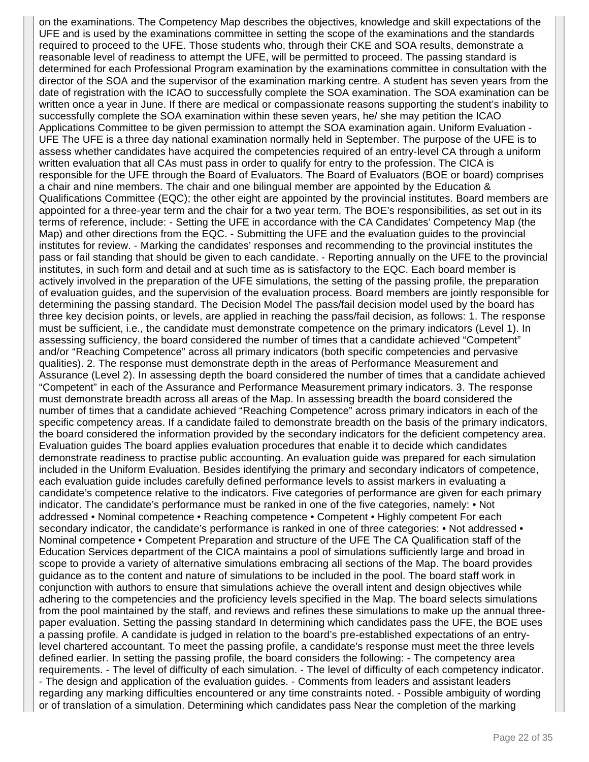on the examinations. The Competency Map describes the objectives, knowledge and skill expectations of the UFE and is used by the examinations committee in setting the scope of the examinations and the standards required to proceed to the UFE. Those students who, through their CKE and SOA results, demonstrate a reasonable level of readiness to attempt the UFE, will be permitted to proceed. The passing standard is determined for each Professional Program examination by the examinations committee in consultation with the director of the SOA and the supervisor of the examination marking centre. A student has seven years from the date of registration with the ICAO to successfully complete the SOA examination. The SOA examination can be written once a year in June. If there are medical or compassionate reasons supporting the student's inability to successfully complete the SOA examination within these seven years, he/ she may petition the ICAO Applications Committee to be given permission to attempt the SOA examination again. Uniform Evaluation - UFE The UFE is a three day national examination normally held in September. The purpose of the UFE is to assess whether candidates have acquired the competencies required of an entry-level CA through a uniform written evaluation that all CAs must pass in order to qualify for entry to the profession. The CICA is responsible for the UFE through the Board of Evaluators. The Board of Evaluators (BOE or board) comprises a chair and nine members. The chair and one bilingual member are appointed by the Education & Qualifications Committee (EQC); the other eight are appointed by the provincial institutes. Board members are appointed for a three-year term and the chair for a two year term. The BOE's responsibilities, as set out in its terms of reference, include: - Setting the UFE in accordance with the CA Candidates' Competency Map (the Map) and other directions from the EQC. - Submitting the UFE and the evaluation guides to the provincial institutes for review. - Marking the candidates' responses and recommending to the provincial institutes the pass or fail standing that should be given to each candidate. - Reporting annually on the UFE to the provincial institutes, in such form and detail and at such time as is satisfactory to the EQC. Each board member is actively involved in the preparation of the UFE simulations, the setting of the passing profile, the preparation of evaluation guides, and the supervision of the evaluation process. Board members are jointly responsible for determining the passing standard. The Decision Model The pass/fail decision model used by the board has three key decision points, or levels, are applied in reaching the pass/fail decision, as follows: 1. The response must be sufficient, i.e., the candidate must demonstrate competence on the primary indicators (Level 1). In assessing sufficiency, the board considered the number of times that a candidate achieved "Competent" and/or "Reaching Competence" across all primary indicators (both specific competencies and pervasive qualities). 2. The response must demonstrate depth in the areas of Performance Measurement and Assurance (Level 2). In assessing depth the board considered the number of times that a candidate achieved "Competent" in each of the Assurance and Performance Measurement primary indicators. 3. The response must demonstrate breadth across all areas of the Map. In assessing breadth the board considered the number of times that a candidate achieved "Reaching Competence" across primary indicators in each of the specific competency areas. If a candidate failed to demonstrate breadth on the basis of the primary indicators, the board considered the information provided by the secondary indicators for the deficient competency area. Evaluation guides The board applies evaluation procedures that enable it to decide which candidates demonstrate readiness to practise public accounting. An evaluation guide was prepared for each simulation included in the Uniform Evaluation. Besides identifying the primary and secondary indicators of competence, each evaluation guide includes carefully defined performance levels to assist markers in evaluating a candidate's competence relative to the indicators. Five categories of performance are given for each primary indicator. The candidate's performance must be ranked in one of the five categories, namely: • Not addressed • Nominal competence • Reaching competence • Competent • Highly competent For each secondary indicator, the candidate's performance is ranked in one of three categories: • Not addressed • Nominal competence • Competent Preparation and structure of the UFE The CA Qualification staff of the Education Services department of the CICA maintains a pool of simulations sufficiently large and broad in scope to provide a variety of alternative simulations embracing all sections of the Map. The board provides guidance as to the content and nature of simulations to be included in the pool. The board staff work in conjunction with authors to ensure that simulations achieve the overall intent and design objectives while adhering to the competencies and the proficiency levels specified in the Map. The board selects simulations from the pool maintained by the staff, and reviews and refines these simulations to make up the annual threepaper evaluation. Setting the passing standard In determining which candidates pass the UFE, the BOE uses a passing profile. A candidate is judged in relation to the board's pre-established expectations of an entrylevel chartered accountant. To meet the passing profile, a candidate's response must meet the three levels defined earlier. In setting the passing profile, the board considers the following: - The competency area requirements. - The level of difficulty of each simulation. - The level of difficulty of each competency indicator. - The design and application of the evaluation guides. - Comments from leaders and assistant leaders regarding any marking difficulties encountered or any time constraints noted. - Possible ambiguity of wording or of translation of a simulation. Determining which candidates pass Near the completion of the marking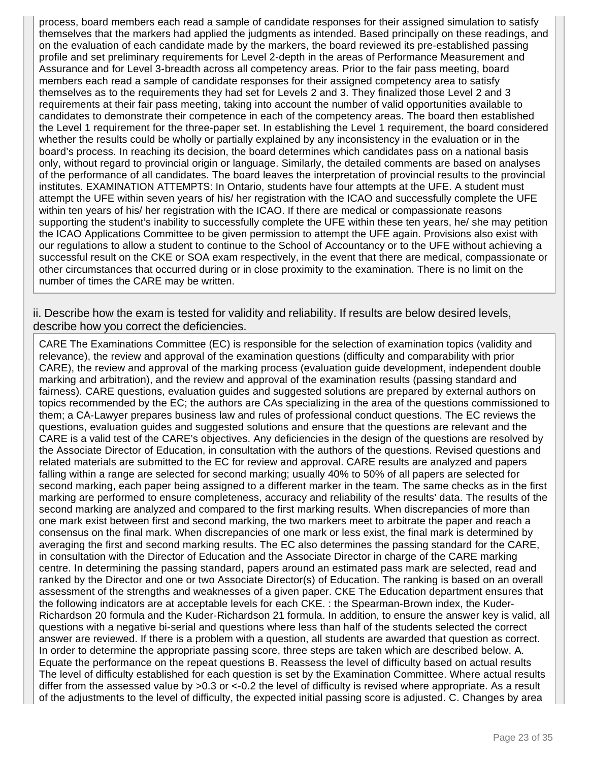process, board members each read a sample of candidate responses for their assigned simulation to satisfy themselves that the markers had applied the judgments as intended. Based principally on these readings, and on the evaluation of each candidate made by the markers, the board reviewed its pre-established passing profile and set preliminary requirements for Level 2-depth in the areas of Performance Measurement and Assurance and for Level 3-breadth across all competency areas. Prior to the fair pass meeting, board members each read a sample of candidate responses for their assigned competency area to satisfy themselves as to the requirements they had set for Levels 2 and 3. They finalized those Level 2 and 3 requirements at their fair pass meeting, taking into account the number of valid opportunities available to candidates to demonstrate their competence in each of the competency areas. The board then established the Level 1 requirement for the three-paper set. In establishing the Level 1 requirement, the board considered whether the results could be wholly or partially explained by any inconsistency in the evaluation or in the board's process. In reaching its decision, the board determines which candidates pass on a national basis only, without regard to provincial origin or language. Similarly, the detailed comments are based on analyses of the performance of all candidates. The board leaves the interpretation of provincial results to the provincial institutes. EXAMINATION ATTEMPTS: In Ontario, students have four attempts at the UFE. A student must attempt the UFE within seven years of his/ her registration with the ICAO and successfully complete the UFE within ten years of his/ her registration with the ICAO. If there are medical or compassionate reasons supporting the student's inability to successfully complete the UFE within these ten years, he/ she may petition the ICAO Applications Committee to be given permission to attempt the UFE again. Provisions also exist with our regulations to allow a student to continue to the School of Accountancy or to the UFE without achieving a successful result on the CKE or SOA exam respectively, in the event that there are medical, compassionate or other circumstances that occurred during or in close proximity to the examination. There is no limit on the number of times the CARE may be written.

ii. Describe how the exam is tested for validity and reliability. If results are below desired levels, describe how you correct the deficiencies.

CARE The Examinations Committee (EC) is responsible for the selection of examination topics (validity and relevance), the review and approval of the examination questions (difficulty and comparability with prior CARE), the review and approval of the marking process (evaluation guide development, independent double marking and arbitration), and the review and approval of the examination results (passing standard and fairness). CARE questions, evaluation guides and suggested solutions are prepared by external authors on topics recommended by the EC; the authors are CAs specializing in the area of the questions commissioned to them; a CA-Lawyer prepares business law and rules of professional conduct questions. The EC reviews the questions, evaluation guides and suggested solutions and ensure that the questions are relevant and the CARE is a valid test of the CARE's objectives. Any deficiencies in the design of the questions are resolved by the Associate Director of Education, in consultation with the authors of the questions. Revised questions and related materials are submitted to the EC for review and approval. CARE results are analyzed and papers falling within a range are selected for second marking; usually 40% to 50% of all papers are selected for second marking, each paper being assigned to a different marker in the team. The same checks as in the first marking are performed to ensure completeness, accuracy and reliability of the results' data. The results of the second marking are analyzed and compared to the first marking results. When discrepancies of more than one mark exist between first and second marking, the two markers meet to arbitrate the paper and reach a consensus on the final mark. When discrepancies of one mark or less exist, the final mark is determined by averaging the first and second marking results. The EC also determines the passing standard for the CARE, in consultation with the Director of Education and the Associate Director in charge of the CARE marking centre. In determining the passing standard, papers around an estimated pass mark are selected, read and ranked by the Director and one or two Associate Director(s) of Education. The ranking is based on an overall assessment of the strengths and weaknesses of a given paper. CKE The Education department ensures that the following indicators are at acceptable levels for each CKE. : the Spearman-Brown index, the Kuder-Richardson 20 formula and the Kuder-Richardson 21 formula. In addition, to ensure the answer key is valid, all questions with a negative bi-serial and questions where less than half of the students selected the correct answer are reviewed. If there is a problem with a question, all students are awarded that question as correct. In order to determine the appropriate passing score, three steps are taken which are described below. A. Equate the performance on the repeat questions B. Reassess the level of difficulty based on actual results The level of difficulty established for each question is set by the Examination Committee. Where actual results differ from the assessed value by >0.3 or <-0.2 the level of difficulty is revised where appropriate. As a result of the adjustments to the level of difficulty, the expected initial passing score is adjusted. C. Changes by area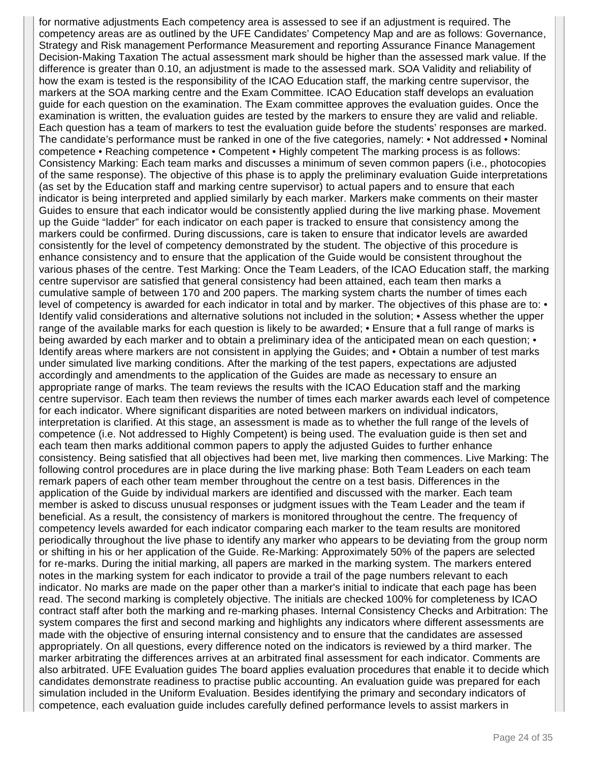for normative adjustments Each competency area is assessed to see if an adjustment is required. The competency areas are as outlined by the UFE Candidates' Competency Map and are as follows: Governance, Strategy and Risk management Performance Measurement and reporting Assurance Finance Management Decision-Making Taxation The actual assessment mark should be higher than the assessed mark value. If the difference is greater than 0.10, an adjustment is made to the assessed mark. SOA Validity and reliability of how the exam is tested is the responsibility of the ICAO Education staff, the marking centre supervisor, the markers at the SOA marking centre and the Exam Committee. ICAO Education staff develops an evaluation guide for each question on the examination. The Exam committee approves the evaluation guides. Once the examination is written, the evaluation guides are tested by the markers to ensure they are valid and reliable. Each question has a team of markers to test the evaluation guide before the students' responses are marked. The candidate's performance must be ranked in one of the five categories, namely: • Not addressed • Nominal competence • Reaching competence • Competent • Highly competent The marking process is as follows: Consistency Marking: Each team marks and discusses a minimum of seven common papers (i.e., photocopies of the same response). The objective of this phase is to apply the preliminary evaluation Guide interpretations (as set by the Education staff and marking centre supervisor) to actual papers and to ensure that each indicator is being interpreted and applied similarly by each marker. Markers make comments on their master Guides to ensure that each indicator would be consistently applied during the live marking phase. Movement up the Guide "ladder" for each indicator on each paper is tracked to ensure that consistency among the markers could be confirmed. During discussions, care is taken to ensure that indicator levels are awarded consistently for the level of competency demonstrated by the student. The objective of this procedure is enhance consistency and to ensure that the application of the Guide would be consistent throughout the various phases of the centre. Test Marking: Once the Team Leaders, of the ICAO Education staff, the marking centre supervisor are satisfied that general consistency had been attained, each team then marks a cumulative sample of between 170 and 200 papers. The marking system charts the number of times each level of competency is awarded for each indicator in total and by marker. The objectives of this phase are to: • Identify valid considerations and alternative solutions not included in the solution; • Assess whether the upper range of the available marks for each question is likely to be awarded; • Ensure that a full range of marks is being awarded by each marker and to obtain a preliminary idea of the anticipated mean on each question: • Identify areas where markers are not consistent in applying the Guides; and • Obtain a number of test marks under simulated live marking conditions. After the marking of the test papers, expectations are adjusted accordingly and amendments to the application of the Guides are made as necessary to ensure an appropriate range of marks. The team reviews the results with the ICAO Education staff and the marking centre supervisor. Each team then reviews the number of times each marker awards each level of competence for each indicator. Where significant disparities are noted between markers on individual indicators, interpretation is clarified. At this stage, an assessment is made as to whether the full range of the levels of competence (i.e. Not addressed to Highly Competent) is being used. The evaluation guide is then set and each team then marks additional common papers to apply the adjusted Guides to further enhance consistency. Being satisfied that all objectives had been met, live marking then commences. Live Marking: The following control procedures are in place during the live marking phase: Both Team Leaders on each team remark papers of each other team member throughout the centre on a test basis. Differences in the application of the Guide by individual markers are identified and discussed with the marker. Each team member is asked to discuss unusual responses or judgment issues with the Team Leader and the team if beneficial. As a result, the consistency of markers is monitored throughout the centre. The frequency of competency levels awarded for each indicator comparing each marker to the team results are monitored periodically throughout the live phase to identify any marker who appears to be deviating from the group norm or shifting in his or her application of the Guide. Re-Marking: Approximately 50% of the papers are selected for re-marks. During the initial marking, all papers are marked in the marking system. The markers entered notes in the marking system for each indicator to provide a trail of the page numbers relevant to each indicator. No marks are made on the paper other than a marker's initial to indicate that each page has been read. The second marking is completely objective. The initials are checked 100% for completeness by ICAO contract staff after both the marking and re-marking phases. Internal Consistency Checks and Arbitration: The system compares the first and second marking and highlights any indicators where different assessments are made with the objective of ensuring internal consistency and to ensure that the candidates are assessed appropriately. On all questions, every difference noted on the indicators is reviewed by a third marker. The marker arbitrating the differences arrives at an arbitrated final assessment for each indicator. Comments are also arbitrated. UFE Evaluation guides The board applies evaluation procedures that enable it to decide which candidates demonstrate readiness to practise public accounting. An evaluation guide was prepared for each simulation included in the Uniform Evaluation. Besides identifying the primary and secondary indicators of competence, each evaluation guide includes carefully defined performance levels to assist markers in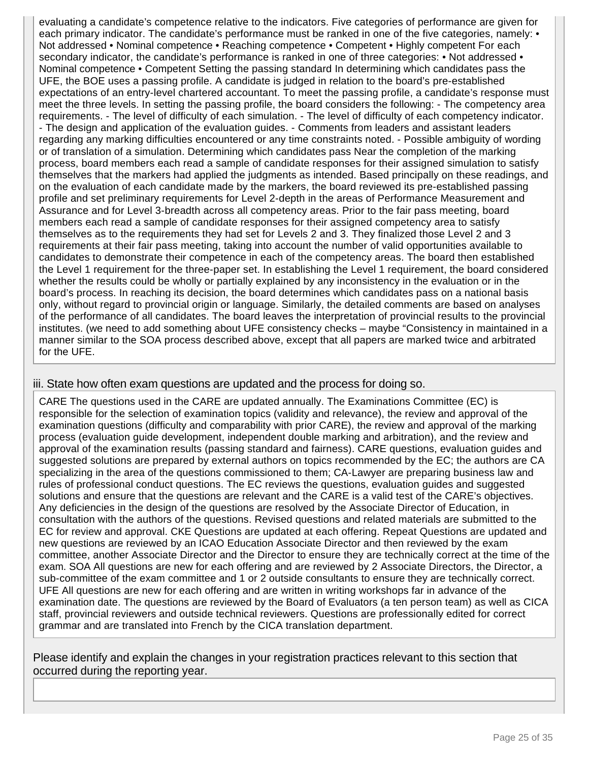evaluating a candidate's competence relative to the indicators. Five categories of performance are given for each primary indicator. The candidate's performance must be ranked in one of the five categories, namely: • Not addressed • Nominal competence • Reaching competence • Competent • Highly competent For each secondary indicator, the candidate's performance is ranked in one of three categories: • Not addressed • Nominal competence • Competent Setting the passing standard In determining which candidates pass the UFE, the BOE uses a passing profile. A candidate is judged in relation to the board's pre-established expectations of an entry-level chartered accountant. To meet the passing profile, a candidate's response must meet the three levels. In setting the passing profile, the board considers the following: - The competency area requirements. - The level of difficulty of each simulation. - The level of difficulty of each competency indicator. - The design and application of the evaluation guides. - Comments from leaders and assistant leaders regarding any marking difficulties encountered or any time constraints noted. - Possible ambiguity of wording or of translation of a simulation. Determining which candidates pass Near the completion of the marking process, board members each read a sample of candidate responses for their assigned simulation to satisfy themselves that the markers had applied the judgments as intended. Based principally on these readings, and on the evaluation of each candidate made by the markers, the board reviewed its pre-established passing profile and set preliminary requirements for Level 2-depth in the areas of Performance Measurement and Assurance and for Level 3-breadth across all competency areas. Prior to the fair pass meeting, board members each read a sample of candidate responses for their assigned competency area to satisfy themselves as to the requirements they had set for Levels 2 and 3. They finalized those Level 2 and 3 requirements at their fair pass meeting, taking into account the number of valid opportunities available to candidates to demonstrate their competence in each of the competency areas. The board then established the Level 1 requirement for the three-paper set. In establishing the Level 1 requirement, the board considered whether the results could be wholly or partially explained by any inconsistency in the evaluation or in the board's process. In reaching its decision, the board determines which candidates pass on a national basis only, without regard to provincial origin or language. Similarly, the detailed comments are based on analyses of the performance of all candidates. The board leaves the interpretation of provincial results to the provincial institutes. (we need to add something about UFE consistency checks – maybe "Consistency in maintained in a manner similar to the SOA process described above, except that all papers are marked twice and arbitrated for the UFE.

#### iii. State how often exam questions are updated and the process for doing so.

CARE The questions used in the CARE are updated annually. The Examinations Committee (EC) is responsible for the selection of examination topics (validity and relevance), the review and approval of the examination questions (difficulty and comparability with prior CARE), the review and approval of the marking process (evaluation guide development, independent double marking and arbitration), and the review and approval of the examination results (passing standard and fairness). CARE questions, evaluation guides and suggested solutions are prepared by external authors on topics recommended by the EC; the authors are CA specializing in the area of the questions commissioned to them; CA-Lawyer are preparing business law and rules of professional conduct questions. The EC reviews the questions, evaluation guides and suggested solutions and ensure that the questions are relevant and the CARE is a valid test of the CARE's objectives. Any deficiencies in the design of the questions are resolved by the Associate Director of Education, in consultation with the authors of the questions. Revised questions and related materials are submitted to the EC for review and approval. CKE Questions are updated at each offering. Repeat Questions are updated and new questions are reviewed by an ICAO Education Associate Director and then reviewed by the exam committee, another Associate Director and the Director to ensure they are technically correct at the time of the exam. SOA All questions are new for each offering and are reviewed by 2 Associate Directors, the Director, a sub-committee of the exam committee and 1 or 2 outside consultants to ensure they are technically correct. UFE All questions are new for each offering and are written in writing workshops far in advance of the examination date. The questions are reviewed by the Board of Evaluators (a ten person team) as well as CICA staff, provincial reviewers and outside technical reviewers. Questions are professionally edited for correct grammar and are translated into French by the CICA translation department.

Please identify and explain the changes in your registration practices relevant to this section that occurred during the reporting year.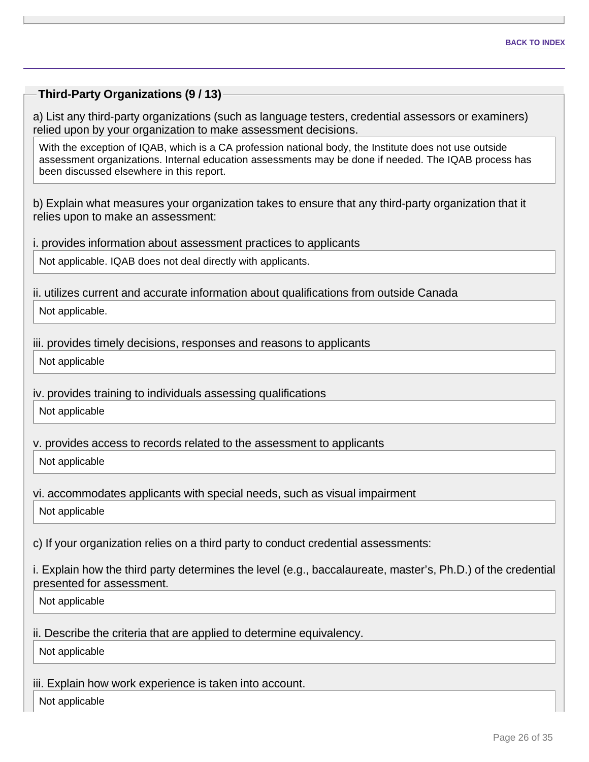#### **Third-Party Organizations (9 / 13)**

a) List any third-party organizations (such as language testers, credential assessors or examiners) relied upon by your organization to make assessment decisions.

With the exception of IQAB, which is a CA profession national body, the Institute does not use outside assessment organizations. Internal education assessments may be done if needed. The IQAB process has been discussed elsewhere in this report.

b) Explain what measures your organization takes to ensure that any third-party organization that it relies upon to make an assessment:

i. provides information about assessment practices to applicants

Not applicable. IQAB does not deal directly with applicants.

ii. utilizes current and accurate information about qualifications from outside Canada

Not applicable.

iii. provides timely decisions, responses and reasons to applicants

Not applicable

iv. provides training to individuals assessing qualifications

Not applicable

v. provides access to records related to the assessment to applicants

Not applicable

vi. accommodates applicants with special needs, such as visual impairment

Not applicable

c) If your organization relies on a third party to conduct credential assessments:

i. Explain how the third party determines the level (e.g., baccalaureate, master's, Ph.D.) of the credential presented for assessment.

Not applicable

ii. Describe the criteria that are applied to determine equivalency.

Not applicable

iii. Explain how work experience is taken into account.

Not applicable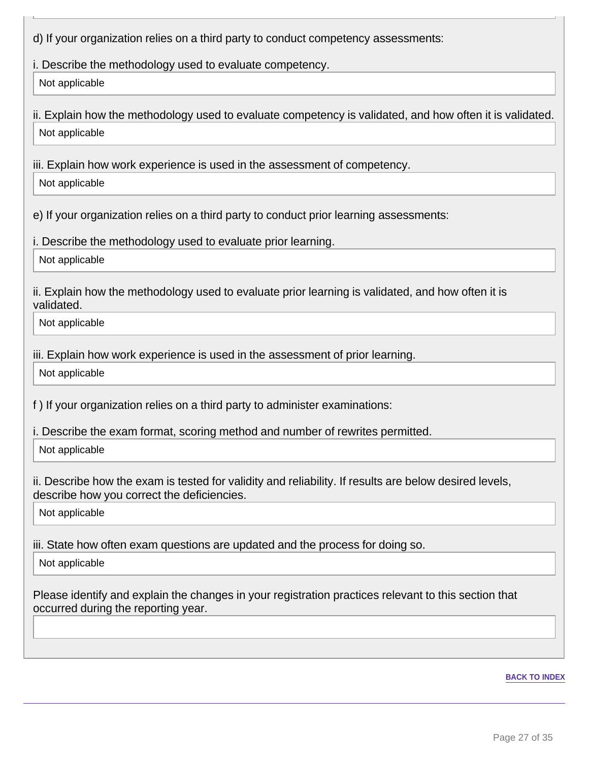d) If your organization relies on a third party to conduct competency assessments:

i. Describe the methodology used to evaluate competency.

Not applicable

ii. Explain how the methodology used to evaluate competency is validated, and how often it is validated. Not applicable

iii. Explain how work experience is used in the assessment of competency.

Not applicable

e) If your organization relies on a third party to conduct prior learning assessments:

i. Describe the methodology used to evaluate prior learning.

Not applicable

ii. Explain how the methodology used to evaluate prior learning is validated, and how often it is validated.

Not applicable

iii. Explain how work experience is used in the assessment of prior learning.

Not applicable

f ) If your organization relies on a third party to administer examinations:

i. Describe the exam format, scoring method and number of rewrites permitted.

Not applicable

ii. Describe how the exam is tested for validity and reliability. If results are below desired levels, describe how you correct the deficiencies.

Not applicable

iii. State how often exam questions are updated and the process for doing so.

Not applicable

Please identify and explain the changes in your registration practices relevant to this section that occurred during the reporting year.

#### **BACK TO INDEX**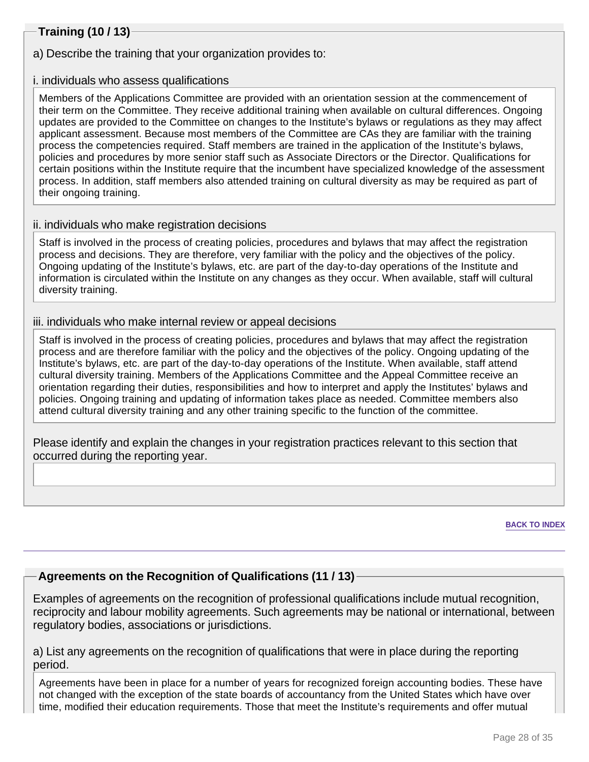## **Training (10 / 13)**

a) Describe the training that your organization provides to:

#### i. individuals who assess qualifications

Members of the Applications Committee are provided with an orientation session at the commencement of their term on the Committee. They receive additional training when available on cultural differences. Ongoing updates are provided to the Committee on changes to the Institute's bylaws or regulations as they may affect applicant assessment. Because most members of the Committee are CAs they are familiar with the training process the competencies required. Staff members are trained in the application of the Institute's bylaws, policies and procedures by more senior staff such as Associate Directors or the Director. Qualifications for certain positions within the Institute require that the incumbent have specialized knowledge of the assessment process. In addition, staff members also attended training on cultural diversity as may be required as part of their ongoing training.

#### ii. individuals who make registration decisions

Staff is involved in the process of creating policies, procedures and bylaws that may affect the registration process and decisions. They are therefore, very familiar with the policy and the objectives of the policy. Ongoing updating of the Institute's bylaws, etc. are part of the day-to-day operations of the Institute and information is circulated within the Institute on any changes as they occur. When available, staff will cultural diversity training.

#### iii. individuals who make internal review or appeal decisions

Staff is involved in the process of creating policies, procedures and bylaws that may affect the registration process and are therefore familiar with the policy and the objectives of the policy. Ongoing updating of the Institute's bylaws, etc. are part of the day-to-day operations of the Institute. When available, staff attend cultural diversity training. Members of the Applications Committee and the Appeal Committee receive an orientation regarding their duties, responsibilities and how to interpret and apply the Institutes' bylaws and policies. Ongoing training and updating of information takes place as needed. Committee members also attend cultural diversity training and any other training specific to the function of the committee.

Please identify and explain the changes in your registration practices relevant to this section that occurred during the reporting year.

**BACK TO INDEX**

## **Agreements on the Recognition of Qualifications (11 / 13)**

Examples of agreements on the recognition of professional qualifications include mutual recognition, reciprocity and labour mobility agreements. Such agreements may be national or international, between regulatory bodies, associations or jurisdictions.

a) List any agreements on the recognition of qualifications that were in place during the reporting period.

Agreements have been in place for a number of years for recognized foreign accounting bodies. These have not changed with the exception of the state boards of accountancy from the United States which have over time, modified their education requirements. Those that meet the Institute's requirements and offer mutual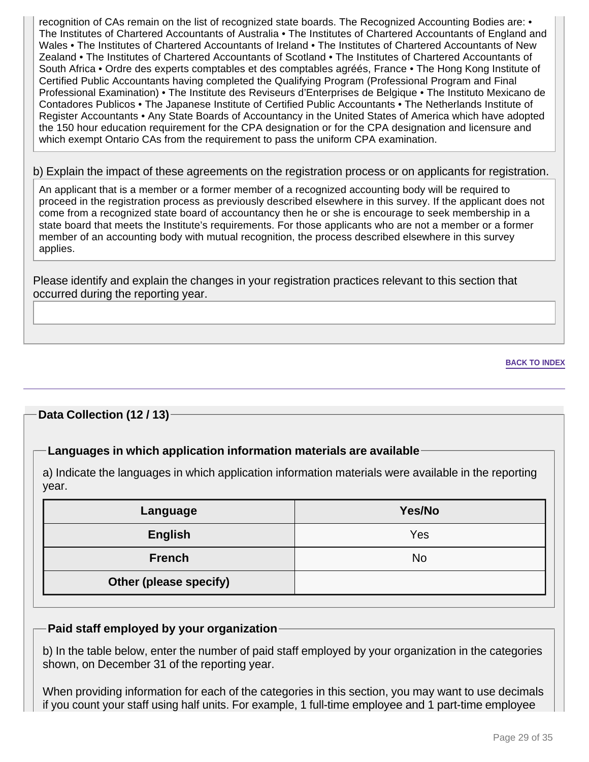recognition of CAs remain on the list of recognized state boards. The Recognized Accounting Bodies are: • The Institutes of Chartered Accountants of Australia • The Institutes of Chartered Accountants of England and Wales • The Institutes of Chartered Accountants of Ireland • The Institutes of Chartered Accountants of New Zealand • The Institutes of Chartered Accountants of Scotland • The Institutes of Chartered Accountants of South Africa • Ordre des experts comptables et des comptables agréés, France • The Hong Kong Institute of Certified Public Accountants having completed the Qualifying Program (Professional Program and Final Professional Examination) • The Institute des Reviseurs d'Enterprises de Belgique • The Instituto Mexicano de Contadores Publicos • The Japanese Institute of Certified Public Accountants • The Netherlands Institute of Register Accountants • Any State Boards of Accountancy in the United States of America which have adopted the 150 hour education requirement for the CPA designation or for the CPA designation and licensure and which exempt Ontario CAs from the requirement to pass the uniform CPA examination.

#### b) Explain the impact of these agreements on the registration process or on applicants for registration.

An applicant that is a member or a former member of a recognized accounting body will be required to proceed in the registration process as previously described elsewhere in this survey. If the applicant does not come from a recognized state board of accountancy then he or she is encourage to seek membership in a state board that meets the Institute's requirements. For those applicants who are not a member or a former member of an accounting body with mutual recognition, the process described elsewhere in this survey applies.

Please identify and explain the changes in your registration practices relevant to this section that occurred during the reporting year.

#### **BACK TO INDEX**

#### **Data Collection (12 / 13)**

#### **Languages in which application information materials are available**

a) Indicate the languages in which application information materials were available in the reporting year.

| Language               | Yes/No |
|------------------------|--------|
| <b>English</b>         | Yes    |
| <b>French</b>          | No     |
| Other (please specify) |        |

#### **Paid staff employed by your organization**

b) In the table below, enter the number of paid staff employed by your organization in the categories shown, on December 31 of the reporting year.

When providing information for each of the categories in this section, you may want to use decimals if you count your staff using half units. For example, 1 full-time employee and 1 part-time employee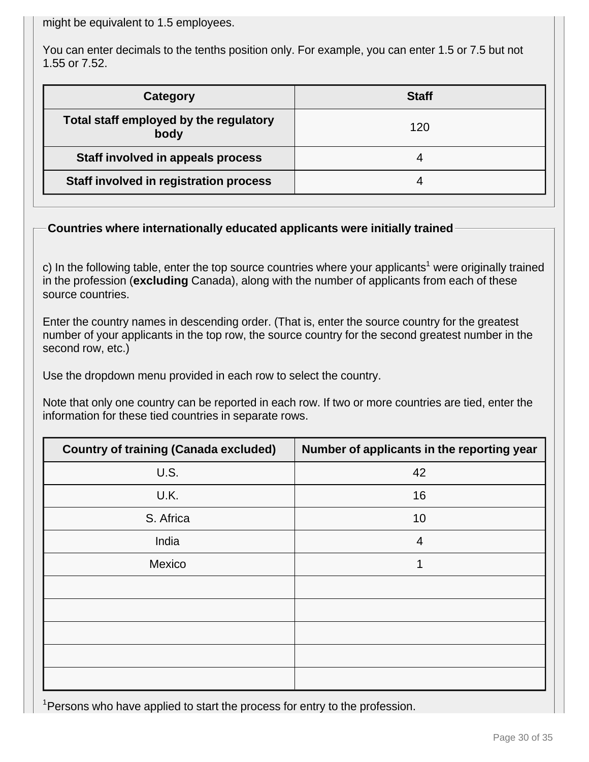might be equivalent to 1.5 employees.

You can enter decimals to the tenths position only. For example, you can enter 1.5 or 7.5 but not 1.55 or 7.52.

| Category                                       | <b>Staff</b> |
|------------------------------------------------|--------------|
| Total staff employed by the regulatory<br>body | 120          |
| <b>Staff involved in appeals process</b>       |              |
| Staff involved in registration process         |              |

## **Countries where internationally educated applicants were initially trained**

c) In the following table, enter the top source countries where your applicants<sup>1</sup> were originally trained in the profession (**excluding** Canada), along with the number of applicants from each of these source countries.

Enter the country names in descending order. (That is, enter the source country for the greatest number of your applicants in the top row, the source country for the second greatest number in the second row, etc.)

Use the dropdown menu provided in each row to select the country.

Note that only one country can be reported in each row. If two or more countries are tied, enter the information for these tied countries in separate rows.

| <b>Country of training (Canada excluded)</b> | Number of applicants in the reporting year |
|----------------------------------------------|--------------------------------------------|
| U.S.                                         | 42                                         |
| U.K.                                         | 16                                         |
| S. Africa                                    | 10                                         |
| India                                        | $\overline{4}$                             |
| Mexico                                       | 1                                          |
|                                              |                                            |
|                                              |                                            |
|                                              |                                            |
|                                              |                                            |
|                                              |                                            |

<sup>1</sup> Persons who have applied to start the process for entry to the profession.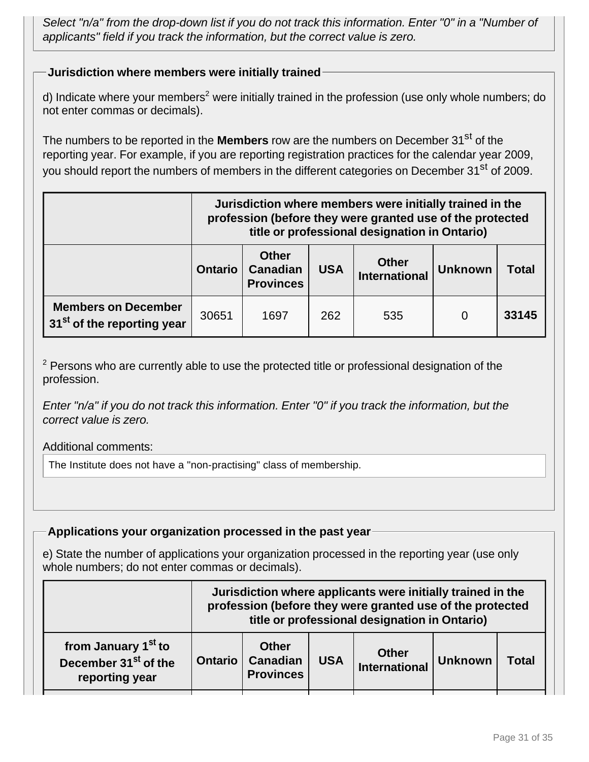Select "n/a" from the drop-down list if you do not track this information. Enter "0" in a "Number of applicants" field if you track the information, but the correct value is zero.

## **Jurisdiction where members were initially trained**

d) Indicate where your members<sup>2</sup> were initially trained in the profession (use only whole numbers; do not enter commas or decimals).

The numbers to be reported in the **Members** row are the numbers on December 31<sup>st</sup> of the reporting year. For example, if you are reporting registration practices for the calendar year 2009, you should report the numbers of members in the different categories on December 31<sup>st</sup> of 2009.

|                                                                      | Jurisdiction where members were initially trained in the<br>profession (before they were granted use of the protected<br>title or professional designation in Ontario) |                                                     |            |                                      |                |              |
|----------------------------------------------------------------------|------------------------------------------------------------------------------------------------------------------------------------------------------------------------|-----------------------------------------------------|------------|--------------------------------------|----------------|--------------|
|                                                                      | <b>Ontario</b>                                                                                                                                                         | <b>Other</b><br><b>Canadian</b><br><b>Provinces</b> | <b>USA</b> | <b>Other</b><br><b>International</b> | <b>Unknown</b> | <b>Total</b> |
| <b>Members on December</b><br>31 <sup>st</sup> of the reporting year | 30651                                                                                                                                                                  | 1697                                                | 262        | 535                                  |                | 33145        |

 $2$  Persons who are currently able to use the protected title or professional designation of the profession.

Enter "n/a" if you do not track this information. Enter "0" if you track the information, but the correct value is zero.

#### Additional comments:

The Institute does not have a "non-practising" class of membership.

#### **Applications your organization processed in the past year**

e) State the number of applications your organization processed in the reporting year (use only whole numbers; do not enter commas or decimals).

|                                                                                       | Jurisdiction where applicants were initially trained in the<br>profession (before they were granted use of the protected<br>title or professional designation in Ontario) |                                                     |            |                                      |                |              |
|---------------------------------------------------------------------------------------|---------------------------------------------------------------------------------------------------------------------------------------------------------------------------|-----------------------------------------------------|------------|--------------------------------------|----------------|--------------|
| from January 1 <sup>st</sup> to<br>December 31 <sup>st</sup> of the<br>reporting year | <b>Ontario</b>                                                                                                                                                            | <b>Other</b><br><b>Canadian</b><br><b>Provinces</b> | <b>USA</b> | <b>Other</b><br><b>International</b> | <b>Unknown</b> | <b>Total</b> |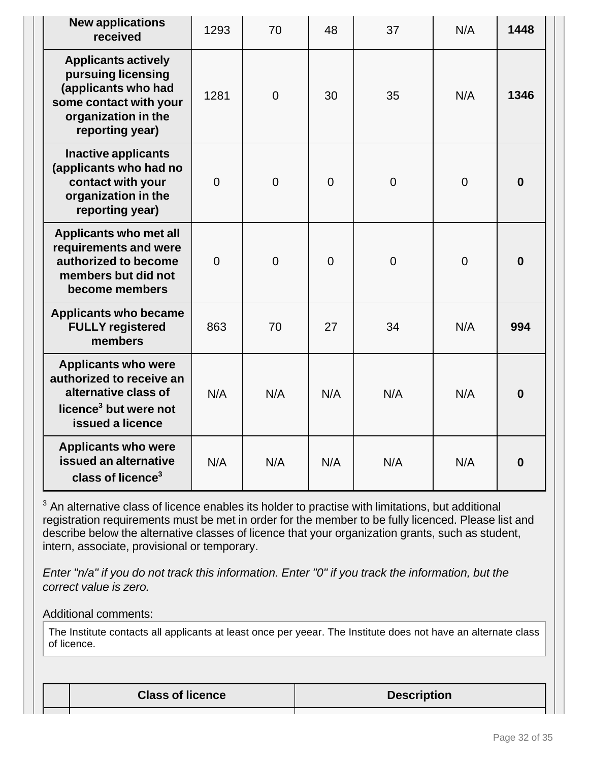| <b>New applications</b><br>received                                                                                                         | 1293           | 70             | 48             | 37             | N/A            | 1448             |
|---------------------------------------------------------------------------------------------------------------------------------------------|----------------|----------------|----------------|----------------|----------------|------------------|
| <b>Applicants actively</b><br>pursuing licensing<br>(applicants who had<br>some contact with your<br>organization in the<br>reporting year) | 1281           | $\overline{0}$ | 30             | 35             | N/A            | 1346             |
| <b>Inactive applicants</b><br>(applicants who had no<br>contact with your<br>organization in the<br>reporting year)                         | $\overline{0}$ | $\overline{0}$ | $\overline{0}$ | $\overline{0}$ | $\overline{0}$ | $\bf{0}$         |
| <b>Applicants who met all</b><br>requirements and were<br>authorized to become<br>members but did not<br>become members                     | $\overline{0}$ | $\overline{0}$ | $\overline{0}$ | $\Omega$       | $\overline{0}$ | $\bf{0}$         |
| <b>Applicants who became</b><br><b>FULLY registered</b><br>members                                                                          | 863            | 70             | 27             | 34             | N/A            | 994              |
| <b>Applicants who were</b><br>authorized to receive an<br>alternative class of<br>licence <sup>3</sup> but were not<br>issued a licence     | N/A            | N/A            | N/A            | N/A            | N/A            | $\boldsymbol{0}$ |
| <b>Applicants who were</b><br>issued an alternative<br>class of licence <sup>3</sup>                                                        | N/A            | N/A            | N/A            | N/A            | N/A            | $\bf{0}$         |

 $3$  An alternative class of licence enables its holder to practise with limitations, but additional registration requirements must be met in order for the member to be fully licenced. Please list and describe below the alternative classes of licence that your organization grants, such as student, intern, associate, provisional or temporary.

Enter "n/a" if you do not track this information. Enter "0" if you track the information, but the correct value is zero.

#### Additional comments:

The Institute contacts all applicants at least once per yeear. The Institute does not have an alternate class of licence.

| <b>Class of licence</b> | <b>Description</b> |
|-------------------------|--------------------|
|-------------------------|--------------------|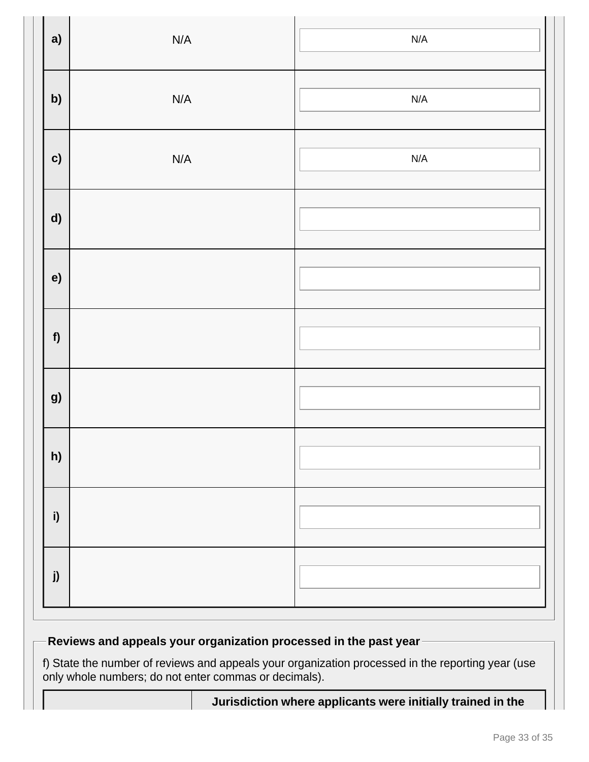| a)           | $\mathsf{N}/\mathsf{A}$ | $\mathsf{N}/\mathsf{A}$ |
|--------------|-------------------------|-------------------------|
| b)           | $\mathsf{N}/\mathsf{A}$ | $\mathsf{N}/\mathsf{A}$ |
| c)           | $\mathsf{N}/\mathsf{A}$ | N/A                     |
| $\mathsf{d}$ |                         |                         |
| e)           |                         |                         |
| f            |                         |                         |
| g)           |                         |                         |
| h)           |                         |                         |
| i)           |                         |                         |
| j)           |                         |                         |

# **Reviews and appeals your organization processed in the past year**

f) State the number of reviews and appeals your organization processed in the reporting year (use only whole numbers; do not enter commas or decimals).

| Jurisdiction where applicants were initially trained in the |
|-------------------------------------------------------------|
|-------------------------------------------------------------|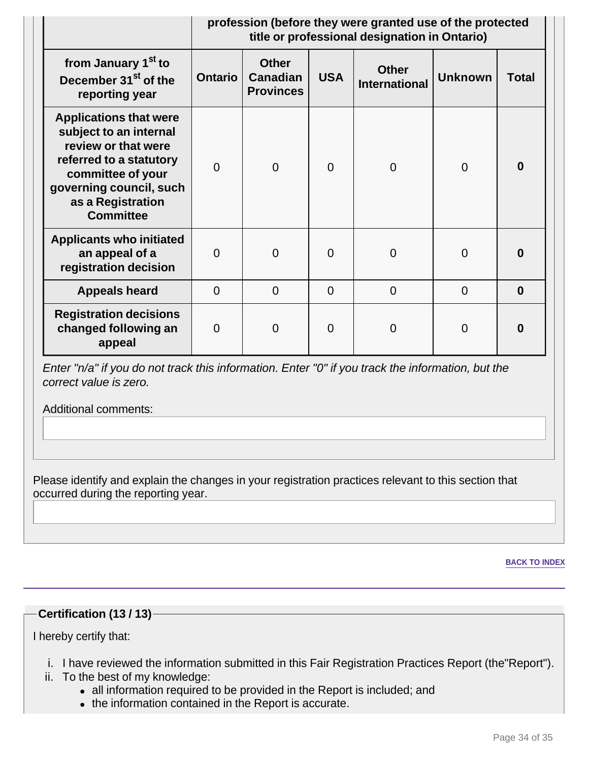|                                                                                                                                                                                                    | profession (before they were granted use of the protected<br>title or professional designation in Ontario) |                                                     |            |                                      |                |              |
|----------------------------------------------------------------------------------------------------------------------------------------------------------------------------------------------------|------------------------------------------------------------------------------------------------------------|-----------------------------------------------------|------------|--------------------------------------|----------------|--------------|
| from January 1 <sup>st</sup> to<br>December 31 <sup>st</sup> of the<br>reporting year                                                                                                              | <b>Ontario</b>                                                                                             | <b>Other</b><br><b>Canadian</b><br><b>Provinces</b> | <b>USA</b> | <b>Other</b><br><b>International</b> | <b>Unknown</b> | <b>Total</b> |
| <b>Applications that were</b><br>subject to an internal<br>review or that were<br>referred to a statutory<br>committee of your<br>governing council, such<br>as a Registration<br><b>Committee</b> | $\Omega$                                                                                                   | $\overline{0}$                                      | $\Omega$   | $\Omega$                             | $\overline{0}$ | $\bf{0}$     |
| <b>Applicants who initiated</b><br>an appeal of a<br>registration decision                                                                                                                         | $\Omega$                                                                                                   | $\overline{0}$                                      | $\Omega$   | $\Omega$                             | $\overline{0}$ | $\bf{0}$     |
| <b>Appeals heard</b>                                                                                                                                                                               | $\overline{0}$                                                                                             | $\Omega$                                            | $\Omega$   | $\Omega$                             | $\overline{0}$ | $\bf{0}$     |
| <b>Registration decisions</b><br>changed following an<br>appeal                                                                                                                                    | $\Omega$                                                                                                   | $\overline{0}$                                      | $\Omega$   | 0                                    | 0              | $\bf{0}$     |

Enter "n/a" if you do not track this information. Enter "0" if you track the information, but the correct value is zero.

Additional comments:

Please identify and explain the changes in your registration practices relevant to this section that occurred during the reporting year.

**BACK TO INDEX**

#### **Certification (13 / 13)**

I hereby certify that:

- i. I have reviewed the information submitted in this Fair Registration Practices Report (the"Report").
- ii. To the best of my knowledge:
	- all information required to be provided in the Report is included; and
	- the information contained in the Report is accurate.